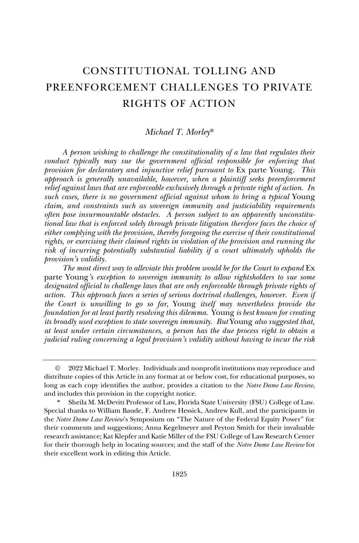# CONSTITUTIONAL TOLLING AND PREENFORCEMENT CHALLENGES TO PRIVATE RIGHTS OF ACTION

#### *Michael T. Morley*\*

*A person wishing to challenge the constitutionality of a law that regulates their conduct typically may sue the government official responsible for enforcing that provision for declaratory and injunctive relief pursuant to* Ex parte Young*. This approach is generally unavailable, however, when a plaintiff seeks preenforcement relief against laws that are enforceable exclusively through a private right of action. In*  such cases, there is no government official against whom to bring a typical Young *claim, and constraints such as sovereign immunity and justiciability requirements often pose insurmountable obstacles. A person subject to an apparently unconstitutional law that is enforced solely through private litigation therefore faces the choice of either complying with the provision, thereby foregoing the exercise of their constitutional rights, or exercising their claimed rights in violation of the provision and running the risk of incurring potentially substantial liability if a court ultimately upholds the provision's validity.*

*The most direct way to alleviate this problem would be for the Court to expand Ex* parte Young*'s exception to sovereign immunity to allow rightsholders to sue some designated official to challenge laws that are only enforceable through private rights of action. This approach faces a series of serious doctrinal challenges, however. Even if the Court is unwilling to go so far,* Young *itself may nevertheless provide the foundation for at least partly resolving this dilemma.* Young *is best known for creating its broadly used exception to state sovereign immunity. But* Young *also suggested that, at least under certain circumstances, a person has the due process right to obtain a judicial ruling concerning a legal provision's validity without having to incur the risk* 

<sup>©</sup> 2022 Michael T. Morley. Individuals and nonprofit institutions may reproduce and distribute copies of this Article in any format at or below cost, for educational purposes, so long as each copy identifies the author, provides a citation to the *Notre Dame Law Review*, and includes this provision in the copyright notice.

Sheila M. McDevitt Professor of Law, Florida State University (FSU) College of Law. Special thanks to William Baude, F. Andrew Hessick, Andrew Kull, and the participants in the *Notre Dame Law Review*'s Symposium on "The Nature of the Federal Equity Power" for their comments and suggestions; Anna Kegelmeyer and Peyton Smith for their invaluable research assistance; Kat Klepfer and Katie Miller of the FSU College of Law Research Center for their thorough help in locating sources; and the staff of the *Notre Dame Law Review* for their excellent work in editing this Article.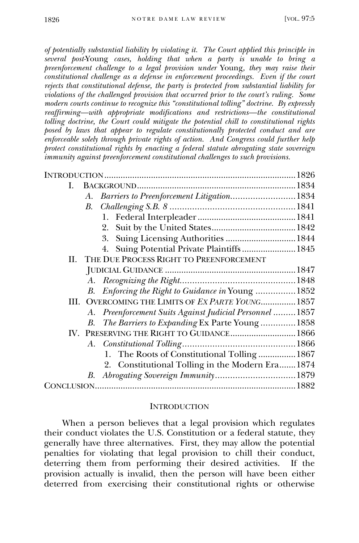*of potentially substantial liability by violating it. The Court applied this principle in several post-*Young *cases, holding that when a party is unable to bring a preenforcement challenge to a legal provision under* Young*, they may raise their constitutional challenge as a defense in enforcement proceedings. Even if the court rejects that constitutional defense, the party is protected from substantial liability for violations of the challenged provision that occurred prior to the court's ruling. Some modern courts continue to recognize this "constitutional tolling" doctrine. By expressly reaffirming—with appropriate modifications and restrictions—the constitutional tolling doctrine, the Court could mitigate the potential chill to constitutional rights posed by laws that appear to regulate constitutionally protected conduct and are enforceable solely through private rights of action. And Congress could further help protect constitutional rights by enacting a federal statute abrogating state sovereign immunity against preenforcement constitutional challenges to such provisions.*

| I. |                                                          |  |
|----|----------------------------------------------------------|--|
|    | Barriers to Preenforcement Litigation1834<br>А.          |  |
|    | B.                                                       |  |
|    |                                                          |  |
|    |                                                          |  |
|    | 3. Suing Licensing Authorities  1844                     |  |
|    | 4. Suing Potential Private Plaintiffs  1845              |  |
|    | II. THE DUE PROCESS RIGHT TO PREENFORCEMENT              |  |
|    |                                                          |  |
|    |                                                          |  |
|    | B. Enforcing the Right to Guidance in Young 1852         |  |
|    | III. OVERCOMING THE LIMITS OF EX PARTE YOUNG 1857        |  |
|    | A. Preenforcement Suits Against Judicial Personnel  1857 |  |
|    | B. The Barriers to Expanding Ex Parte Young  1858        |  |
|    | IV. PRESERVING THE RIGHT TO GUIDANCE 1866                |  |
|    |                                                          |  |
|    | 1. The Roots of Constitutional Tolling  1867             |  |
|    | 2. Constitutional Tolling in the Modern Era 1874         |  |
|    |                                                          |  |
|    |                                                          |  |
|    |                                                          |  |

#### **INTRODUCTION**

When a person believes that a legal provision which regulates their conduct violates the U.S. Constitution or a federal statute, they generally have three alternatives. First, they may allow the potential penalties for violating that legal provision to chill their conduct, deterring them from performing their desired activities. If the provision actually is invalid, then the person will have been either deterred from exercising their constitutional rights or otherwise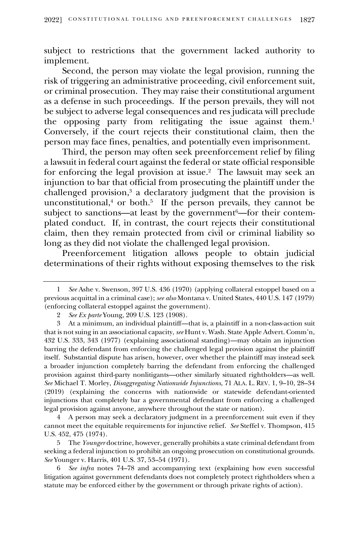subject to restrictions that the government lacked authority to implement.

Second, the person may violate the legal provision, running the risk of triggering an administrative proceeding, civil enforcement suit, or criminal prosecution. They may raise their constitutional argument as a defense in such proceedings. If the person prevails, they will not be subject to adverse legal consequences and res judicata will preclude the opposing party from relitigating the issue against them.<sup>1</sup> Conversely, if the court rejects their constitutional claim, then the person may face fines, penalties, and potentially even imprisonment.

Third, the person may often seek preenforcement relief by filing a lawsuit in federal court against the federal or state official responsible for enforcing the legal provision at issue.<sup>2</sup> The lawsuit may seek an injunction to bar that official from prosecuting the plaintiff under the challenged provision,<sup>3</sup> a declaratory judgment that the provision is unconstitutional, $4$  or both. $5$  If the person prevails, they cannot be subject to sanctions—at least by the government<sup>6</sup>—for their contemplated conduct. If, in contrast, the court rejects their constitutional claim, then they remain protected from civil or criminal liability so long as they did not violate the challenged legal provision.

Preenforcement litigation allows people to obtain judicial determinations of their rights without exposing themselves to the risk

4 A person may seek a declaratory judgment in a preenforcement suit even if they cannot meet the equitable requirements for injunctive relief. *See* Steffel v. Thompson, 415 U.S. 452, 475 (1974).

5 The *Younger* doctrine, however, generally prohibits a state criminal defendant from seeking a federal injunction to prohibit an ongoing prosecution on constitutional grounds. *See* Younger v. Harris, 401 U.S. 37, 53–54 (1971).

6 *See infra* notes 74–78 and accompanying text (explaining how even successful litigation against government defendants does not completely protect rightholders when a statute may be enforced either by the government or through private rights of action).

<sup>1</sup> *See* Ashe v. Swenson, 397 U.S. 436 (1970) (applying collateral estoppel based on a previous acquittal in a criminal case); *see also* Montana v. United States, 440 U.S. 147 (1979) (enforcing collateral estoppel against the government).

<sup>2</sup> *See Ex parte* Young, 209 U.S. 123 (1908).

<sup>3</sup> At a minimum, an individual plaintiff—that is, a plaintiff in a non-class-action suit that is not suing in an associational capacity, *see* Hunt v. Wash. State Apple Advert. Comm'n, 432 U.S. 333, 343 (1977) (explaining associational standing)—may obtain an injunction barring the defendant from enforcing the challenged legal provision against the plaintiff itself. Substantial dispute has arisen, however, over whether the plaintiff may instead seek a broader injunction completely barring the defendant from enforcing the challenged provision against third-party nonlitigants—other similarly situated rightholders—as well. *See* Michael T. Morley, *Disaggregating Nationwide Injunctions*, 71 ALA. L. REV. 1, 9–10, 28–34 (2019) (explaining the concerns with nationwide or statewide defendant-oriented injunctions that completely bar a governmental defendant from enforcing a challenged legal provision against anyone, anywhere throughout the state or nation).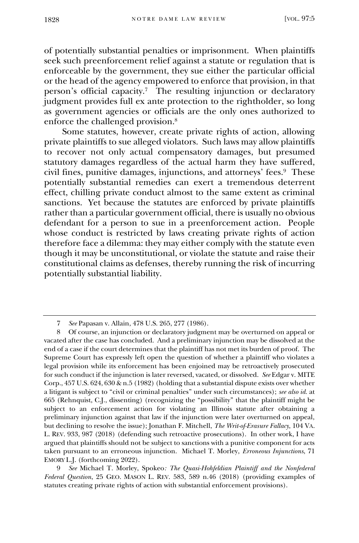of potentially substantial penalties or imprisonment. When plaintiffs seek such preenforcement relief against a statute or regulation that is enforceable by the government, they sue either the particular official or the head of the agency empowered to enforce that provision, in that person's official capacity. 7 The resulting injunction or declaratory judgment provides full ex ante protection to the rightholder, so long as government agencies or officials are the only ones authorized to enforce the challenged provision.<sup>8</sup>

Some statutes, however, create private rights of action, allowing private plaintiffs to sue alleged violators. Such laws may allow plaintiffs to recover not only actual compensatory damages, but presumed statutory damages regardless of the actual harm they have suffered, civil fines, punitive damages, injunctions, and attorneys' fees.<sup>9</sup> These potentially substantial remedies can exert a tremendous deterrent effect, chilling private conduct almost to the same extent as criminal sanctions. Yet because the statutes are enforced by private plaintiffs rather than a particular government official, there is usually no obvious defendant for a person to sue in a preenforcement action. People whose conduct is restricted by laws creating private rights of action therefore face a dilemma: they may either comply with the statute even though it may be unconstitutional, or violate the statute and raise their constitutional claims as defenses, thereby running the risk of incurring potentially substantial liability.

<sup>7</sup> *See* Papasan v. Allain, 478 U.S. 265, 277 (1986).

<sup>8</sup> Of course, an injunction or declaratory judgment may be overturned on appeal or vacated after the case has concluded. And a preliminary injunction may be dissolved at the end of a case if the court determines that the plaintiff has not met its burden of proof. The Supreme Court has expressly left open the question of whether a plaintiff who violates a legal provision while its enforcement has been enjoined may be retroactively prosecuted for such conduct if the injunction is later reversed, vacated, or dissolved. *See* Edgar v. MITE Corp., 457 U.S. 624, 630 & n.5 (1982) (holding that a substantial dispute exists over whether a litigant is subject to "civil or criminal penalties" under such circumstances); *see also id.* at 665 (Rehnquist, C.J., dissenting) (recognizing the "possibility" that the plaintiff might be subject to an enforcement action for violating an Illinois statute after obtaining a preliminary injunction against that law if the injunction were later overturned on appeal, but declining to resolve the issue); Jonathan F. Mitchell, *The Writ-of-Erasure Fallacy*, 104 VA. L. REV. 933, 987 (2018) (defending such retroactive prosecutions). In other work, I have argued that plaintiffs should not be subject to sanctions with a punitive component for acts taken pursuant to an erroneous injunction. Michael T. Morley, *Erroneous Injunctions*, 71 EMORY L.J. (forthcoming 2022).

<sup>9</sup> *See* Michael T. Morley, Spokeo*: The Quasi-Hohfeldian Plaintiff and the Nonfederal Federal Question*, 25 GEO. MASON L. REV. 583, 589 n.46 (2018) (providing examples of statutes creating private rights of action with substantial enforcement provisions).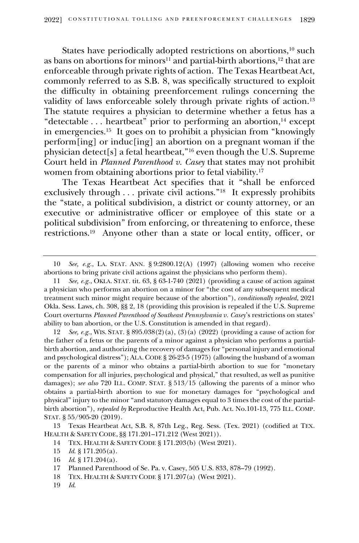States have periodically adopted restrictions on abortions,<sup>10</sup> such as bans on abortions for minors<sup>11</sup> and partial-birth abortions,<sup>12</sup> that are enforceable through private rights of action. The Texas Heartbeat Act, commonly referred to as S.B. 8, was specifically structured to exploit the difficulty in obtaining preenforcement rulings concerning the validity of laws enforceable solely through private rights of action.<sup>13</sup> The statute requires a physician to determine whether a fetus has a "detectable . . . heartbeat" prior to performing an abortion,<sup>14</sup> except in emergencies.<sup>15</sup> It goes on to prohibit a physician from "knowingly perform[ing] or induc[ing] an abortion on a pregnant woman if the physician detect[s] a fetal heartbeat,"<sup>16</sup> even though the U.S. Supreme Court held in *Planned Parenthood v. Casey* that states may not prohibit women from obtaining abortions prior to fetal viability.<sup>17</sup>

The Texas Heartbeat Act specifies that it "shall be enforced exclusively through . . . private civil actions."<sup>18</sup> It expressly prohibits the "state, a political subdivision, a district or county attorney, or an executive or administrative officer or employee of this state or a political subdivision" from enforcing, or threatening to enforce, these restrictions.<sup>19</sup> Anyone other than a state or local entity, officer, or

19 *Id*.

<sup>10</sup> *See, e.g.*, LA. STAT. ANN. § 9:2800.12(A) (1997) (allowing women who receive abortions to bring private civil actions against the physicians who perform them).

<sup>11</sup> *See, e.g.*, OKLA. STAT. tit. 63, § 63-1-740 (2021) (providing a cause of action against a physician who performs an abortion on a minor for "the cost of any subsequent medical treatment such minor might require because of the abortion"), *conditionally repealed*, 2021 Okla. Sess. Laws, ch. 308, §§ 2, 18 (providing this provision is repealed if the U.S. Supreme Court overturns *Planned Parenthood of Southeast Pennsylvania v. Casey*'s restrictions on states' ability to ban abortion, or the U.S. Constitution is amended in that regard).

<sup>12</sup> *See, e.g.*, WIS. STAT. § 895.038(2)(a), (3)(a) (2022) (providing a cause of action for the father of a fetus or the parents of a minor against a physician who performs a partialbirth abortion, and authorizing the recovery of damages for "personal injury and emotional and psychological distress"); ALA. CODE § 26-23-5 (1975) (allowing the husband of a woman or the parents of a minor who obtains a partial-birth abortion to sue for "monetary compensation for all injuries, psychological and physical," that resulted, as well as punitive damages); *see also* 720 ILL. COMP. STAT. § 513/15 (allowing the parents of a minor who obtains a partial-birth abortion to sue for monetary damages for "psychological and physical" injury to the minor "and statutory damages equal to 3 times the cost of the partialbirth abortion"), *repealed by* Reproductive Health Act, Pub. Act. No.101-13, 775 ILL. COMP. STAT. § 55/905-20 (2019).

<sup>13</sup> Texas Heartbeat Act, S.B. 8, 87th Leg., Reg. Sess. (Tex. 2021) (codified at TEX. HEALTH & SAFETY CODE, §§ 171.201–171.212 (West 2021)).

<sup>14</sup> TEX. HEALTH & SAFETY CODE § 171.203(b) (West 2021).

<sup>15</sup> *Id*. § 171.205(a).

<sup>16</sup> *Id*. § 171.204(a).

<sup>17</sup> Planned Parenthood of Se. Pa. v. Casey, 505 U.S. 833, 878–79 (1992).

<sup>18</sup> TEX. HEALTH & SAFETY CODE § 171.207(a) (West 2021).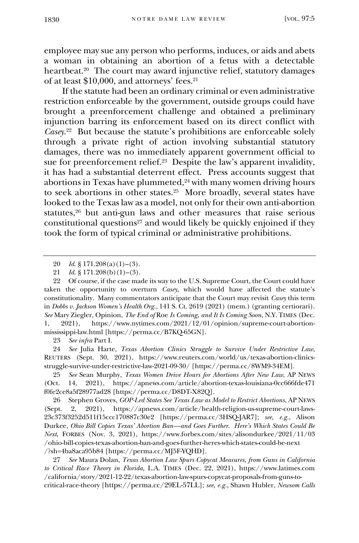employee may sue any person who performs, induces, or aids and abets a woman in obtaining an abortion of a fetus with a detectable heartbeat.<sup>20</sup> The court may award injunctive relief, statutory damages of at least \$10,000, and attorneys' fees.<sup>21</sup>

If the statute had been an ordinary criminal or even administrative restriction enforceable by the government, outside groups could have brought a preenforcement challenge and obtained a preliminary injunction barring its enforcement based on its direct conflict with *Casey*. 22 But because the statute's prohibitions are enforceable solely through a private right of action involving substantial statutory damages, there was no immediately apparent government official to sue for preenforcement relief.<sup>23</sup> Despite the law's apparent invalidity, it has had a substantial deterrent effect. Press accounts suggest that abortions in Texas have plummeted,<sup>24</sup> with many women driving hours to seek abortions in other states.<sup>25</sup> More broadly, several states have looked to the Texas law as a model, not only for their own anti-abortion statutes,<sup>26</sup> but anti-gun laws and other measures that raise serious constitutional questions $27$  and would likely be quickly enjoined if they took the form of typical criminal or administrative prohibitions.

23 *See infra* Part I.

24 *See* Julia Harte, *Texas Abortion Clinics Struggle to Survive Under Restrictive Law*, REUTERS (Sept. 30, 2021), https://www.reuters.com/world/us/texas-abortion-clinicsstruggle-survive-under-restrictive-law-2021-09-30/ [https://perma.cc/8WM9-34EM].

25 *See* Sean Murphy, *Texas Women Drive Hours for Abortions After New Law*, AP NEWS (Oct. 14, 2021), https://apnews.com/article/abortion-texas-louisiana-0cc666fde471 f0fe2ce8a5f28977ad28 [https://perma.cc/D8DT-X82Q].

26 Stephen Groves, *GOP-Led States See Texas Law as Model to Restrict Abortions*, AP NEWS (Sept. 2, 2021), https://apnews.com/article/health-religion-us-supreme-court-laws-23c373f3252d511f15ccc170887c30e2 [https://perma.cc/3HSQ-JAR7]; *see, e.g.*, Alison Durkee, *Ohio Bill Copies Texas' Abortion Ban—and Goes Further. Here's Which States Could Be Next*, FORBES (Nov. 3, 2021), https://www.forbes.com/sites/alisondurkee/2021/11/03 /ohio-bill-copies-texas-abortion-ban-and-goes-further-heres-which-states-could-be-next /?sh=4ba8aca95b84 [https://perma.cc/MJ5F-YQHD].

27 *See* Maura Dolan, *Texas Abortion Law Spurs Copycat Measures, from Guns in California to Critical Race Theory in Florida*, L.A. TIMES (Dec. 22, 2021), https://www.latimes.com /california/story/2021-12-22/texas-abortion-law-spurs-copycat-proposals-from-guns-tocritical-race-theory [https://perma.cc/29EL-57LL]; *see, e.g.*, Shawn Hubler, *Newsom Calls* 

<sup>20</sup> *Id*. § 171.208(a)(1)–(3).

<sup>21</sup> *Id*. § 171.208(b)(1)–(3).

<sup>22</sup> Of course, if the case made its way to the U.S. Supreme Court, the Court could have taken the opportunity to overturn *Casey*, which would have affected the statute's constitutionality. Many commentators anticipate that the Court may revisit *Casey* this term in *Dobbs v. Jackson Women's Health Org.*, 141 S. Ct. 2619 (2021) (mem.) (granting certiorari). *See* Mary Ziegler, Opinion, *The End of* Roe *Is Coming, and It Is Coming Soon*, N.Y. TIMES (Dec. 1, 2021), https://www.nytimes.com/2021/12/01/opinion/supreme-court-abortionmississippi-law.html [https://perma.cc/B7KQ-65GN].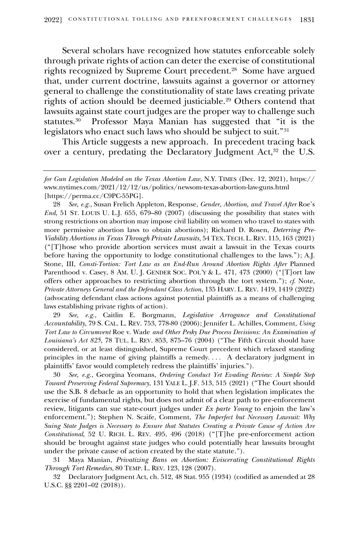Several scholars have recognized how statutes enforceable solely through private rights of action can deter the exercise of constitutional rights recognized by Supreme Court precedent.<sup>28</sup> Some have argued that, under current doctrine, lawsuits against a governor or attorney general to challenge the constitutionality of state laws creating private rights of action should be deemed justiciable.<sup>29</sup> Others contend that lawsuits against state court judges are the proper way to challenge such statutes.<sup>30</sup> Professor Maya Manian has suggested that "it is the legislators who enact such laws who should be subject to suit."<sup>31</sup>

This Article suggests a new approach. In precedent tracing back over a century, predating the Declaratory Judgment Act,<sup>32</sup> the U.S.

28 *See, e.g.*, Susan Frelich Appleton, Response, *Gender, Abortion, and Travel After* Roe's *End*, 51 ST. LOUIS U. L.J. 655, 679–80 (2007) (discussing the possibility that states with strong restrictions on abortion may impose civil liability on women who travel to states with more permissive abortion laws to obtain abortions); Richard D. Rosen, *Deterring Pre-Viability Abortions in Texas Through Private Lawsuits*, 54 TEX.TECH. L.REV. 115, 163 (2021) ("[T]hose who provide abortion services must await a lawsuit in the Texas courts before having the opportunity to lodge constitutional challenges to the laws."); A.J. Stone, III, *Consti-Tortion: Tort Law as an End-Run Around Abortion Rights After Planned* Parenthood v. Casey, 8 AM. U. J. GENDER SOC. POL'Y & L. 471, 473 (2000) ("[T]ort law offers other approaches to restricting abortion through the tort system."); *cf*. Note, *Private Attorneys General and the Defendant Class Action*, 135 HARV. L. REV. 1419, 1419 (2022) (advocating defendant class actions against potential plaintiffs as a means of challenging laws establishing private rights of action).

29 *See, e.g.*, Caitlin E. Borgmann, *Legislative Arrogance and Constitutional Accountability*, 79 S. CAL. L. REV. 753, 778-80 (2006); Jennifer L. Achilles, Comment, *Using Tort Law to Circumvent* Roe v. Wade *and Other Pesky Due Process Decisions: An Examination of Louisiana's Act 825*, 78 TUL. L. REV. 853, 875–76 (2004) ("The Fifth Circuit should have considered, or at least distinguished, Supreme Court precedent which relaxed standing principles in the name of giving plaintiffs a remedy. . . . A declaratory judgment in plaintiffs' favor would completely redress the plaintiffs' injuries.").

30 *See, e.g.*, Georgina Yeomans, *Ordering Conduct Yet Evading Review: A Simple Step Toward Preserving Federal Supremacy*, 131 YALE L. J.F. 513, 515 (2021) ("The Court should use the S.B. 8 debacle as an opportunity to hold that when legislation implicates the exercise of fundamental rights, but does not admit of a clear path to pre-enforcement review, litigants can sue state-court judges under *Ex parte Young* to enjoin the law's enforcement."); Stephen N. Scaife, Comment, *The Imperfect but Necessary Lawsuit: Why Suing State Judges is Necessary to Ensure that Statutes Creating a Private Cause of Action Are Constitutional*, 52 U. RICH. L. REV. 495, 496 (2018) ("[T]he pre-enforcement action should be brought against state judges who could potentially hear lawsuits brought under the private cause of action created by the state statute.").

31 Maya Manian, *Privatizing Bans on Abortion: Eviscerating Constitutional Rights Through Tort Remedies*, 80 TEMP. L. REV. 123, 128 (2007).

32 Declaratory Judgment Act, ch. 512, 48 Stat. 955 (1934) (codified as amended at 28 U.S.C. §§ 2201–02 (2018)).

*for Gun Legislation Modeled on the Texas Abortion Law*, N.Y. TIMES (Dec. 12, 2021), https:// www.nytimes.com/2021/12/12/us/politics/newsom-texas-abortion-law-guns.html [https://perma.cc/C9PC-55PG].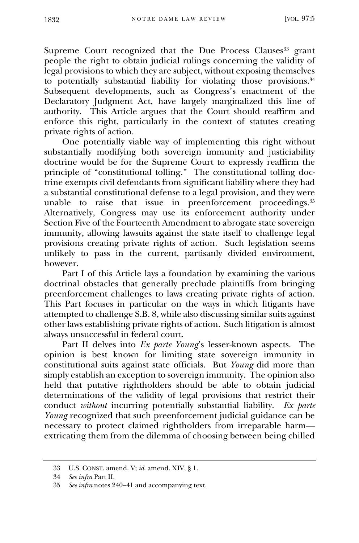Supreme Court recognized that the Due Process Clauses<sup>33</sup> grant people the right to obtain judicial rulings concerning the validity of legal provisions to which they are subject, without exposing themselves to potentially substantial liability for violating those provisions. 34 Subsequent developments, such as Congress's enactment of the Declaratory Judgment Act, have largely marginalized this line of authority. This Article argues that the Court should reaffirm and enforce this right, particularly in the context of statutes creating private rights of action.

One potentially viable way of implementing this right without substantially modifying both sovereign immunity and justiciability doctrine would be for the Supreme Court to expressly reaffirm the principle of "constitutional tolling." The constitutional tolling doctrine exempts civil defendants from significant liability where they had a substantial constitutional defense to a legal provision, and they were unable to raise that issue in preenforcement proceedings.<sup>35</sup> Alternatively, Congress may use its enforcement authority under Section Five of the Fourteenth Amendment to abrogate state sovereign immunity, allowing lawsuits against the state itself to challenge legal provisions creating private rights of action. Such legislation seems unlikely to pass in the current, partisanly divided environment, however.

Part I of this Article lays a foundation by examining the various doctrinal obstacles that generally preclude plaintiffs from bringing preenforcement challenges to laws creating private rights of action. This Part focuses in particular on the ways in which litigants have attempted to challenge S.B. 8, while also discussing similar suits against other laws establishing private rights of action. Such litigation is almost always unsuccessful in federal court.

Part II delves into *Ex parte Young*'s lesser-known aspects. The opinion is best known for limiting state sovereign immunity in constitutional suits against state officials. But *Young* did more than simply establish an exception to sovereign immunity. The opinion also held that putative rightholders should be able to obtain judicial determinations of the validity of legal provisions that restrict their conduct *without* incurring potentially substantial liability. *Ex parte Young* recognized that such preenforcement judicial guidance can be necessary to protect claimed rightholders from irreparable harm extricating them from the dilemma of choosing between being chilled

<sup>33</sup> U.S. CONST. amend. V; *id*. amend. XIV, § 1.

<sup>34</sup> *See infra* Part II.

<sup>35</sup> *See infra* notes 240–41 and accompanying text.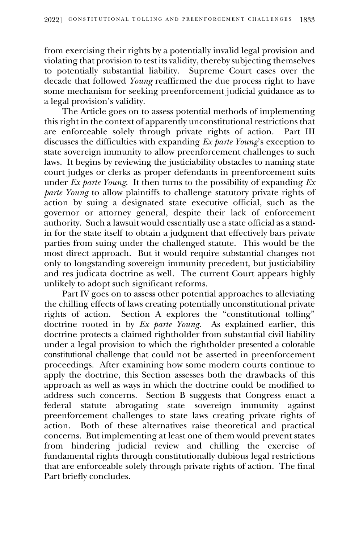from exercising their rights by a potentially invalid legal provision and violating that provision to test its validity, thereby subjecting themselves to potentially substantial liability. Supreme Court cases over the decade that followed *Young* reaffirmed the due process right to have some mechanism for seeking preenforcement judicial guidance as to a legal provision's validity.

The Article goes on to assess potential methods of implementing this right in the context of apparently unconstitutional restrictions that are enforceable solely through private rights of action. Part III discusses the difficulties with expanding *Ex parte Young*'s exception to state sovereign immunity to allow preenforcement challenges to such laws. It begins by reviewing the justiciability obstacles to naming state court judges or clerks as proper defendants in preenforcement suits under *Ex parte Young*. It then turns to the possibility of expanding *Ex parte Young* to allow plaintiffs to challenge statutory private rights of action by suing a designated state executive official, such as the governor or attorney general, despite their lack of enforcement authority. Such a lawsuit would essentially use a state official as a standin for the state itself to obtain a judgment that effectively bars private parties from suing under the challenged statute. This would be the most direct approach. But it would require substantial changes not only to longstanding sovereign immunity precedent, but justiciability and res judicata doctrine as well. The current Court appears highly unlikely to adopt such significant reforms.

Part IV goes on to assess other potential approaches to alleviating the chilling effects of laws creating potentially unconstitutional private rights of action. Section A explores the "constitutional tolling" doctrine rooted in by *Ex parte Young*. As explained earlier, this doctrine protects a claimed rightholder from substantial civil liability under a legal provision to which the rightholder presented a colorable constitutional challenge that could not be asserted in preenforcement proceedings. After examining how some modern courts continue to apply the doctrine, this Section assesses both the drawbacks of this approach as well as ways in which the doctrine could be modified to address such concerns. Section B suggests that Congress enact a federal statute abrogating state sovereign immunity against preenforcement challenges to state laws creating private rights of action. Both of these alternatives raise theoretical and practical concerns. But implementing at least one of them would prevent states from hindering judicial review and chilling the exercise of fundamental rights through constitutionally dubious legal restrictions that are enforceable solely through private rights of action. The final Part briefly concludes.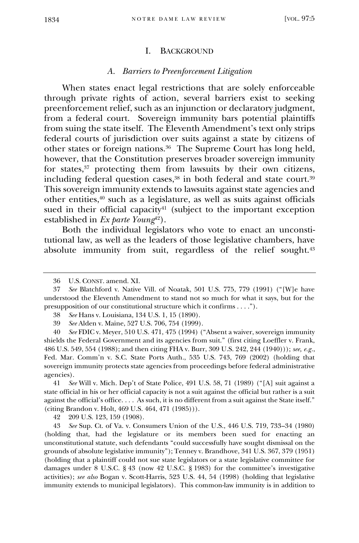#### I. BACKGROUND

## *A. Barriers to Preenforcement Litigation*

When states enact legal restrictions that are solely enforceable through private rights of action, several barriers exist to seeking preenforcement relief, such as an injunction or declaratory judgment, from a federal court. Sovereign immunity bars potential plaintiffs from suing the state itself. The Eleventh Amendment's text only strips federal courts of jurisdiction over suits against a state by citizens of other states or foreign nations.<sup>36</sup> The Supreme Court has long held, however, that the Constitution preserves broader sovereign immunity for states, $37$  protecting them from lawsuits by their own citizens, including federal question cases, $^{38}$  in both federal and state court. $^{39}$ This sovereign immunity extends to lawsuits against state agencies and other entities,<sup>40</sup> such as a legislature, as well as suits against officials sued in their official capacity <sup>41</sup> (subject to the important exception established in *Ex parte Young*<sup>42</sup>).

Both the individual legislators who vote to enact an unconstitutional law, as well as the leaders of those legislative chambers, have absolute immunity from suit, regardless of the relief sought.<sup>43</sup>

41 *See* Will v. Mich. Dep't of State Police, 491 U.S. 58, 71 (1989) ("[A] suit against a state official in his or her official capacity is not a suit against the official but rather is a suit against the official's office. . . . As such, it is no different from a suit against the State itself." (citing Brandon v. Holt, 469 U.S. 464, 471 (1985))).

42 209 U.S. 123, 159 (1908).

43 *See* Sup. Ct. of Va. v. Consumers Union of the U.S., 446 U.S. 719, 733–34 (1980) (holding that, had the legislature or its members been sued for enacting an unconstitutional statute, such defendants "could successfully have sought dismissal on the grounds of absolute legislative immunity"); Tenney v. Brandhove, 341 U.S. 367, 379 (1951) (holding that a plaintiff could not sue state legislators or a state legislative committee for damages under 8 U.S.C. § 43 (now 42 U.S.C. § 1983) for the committee's investigative activities); *see also* Bogan v. Scott-Harris, 523 U.S. 44, 54 (1998) (holding that legislative immunity extends to municipal legislators). This common-law immunity is in addition to

<sup>36</sup> U.S. CONST. amend. XI.

<sup>37</sup> *See* Blatchford v. Native Vill. of Noatak, 501 U.S. 775, 779 (1991) ("[W]e have understood the Eleventh Amendment to stand not so much for what it says, but for the presupposition of our constitutional structure which it confirms . . . .").

<sup>38</sup> *See* Hans v. Louisiana, 134 U.S. 1, 15 (1890).

<sup>39</sup> *See* Alden v. Maine, 527 U.S. 706, 754 (1999).

<sup>40</sup> *See* FDIC v. Meyer, 510 U.S. 471, 475 (1994) ("Absent a waiver, sovereign immunity shields the Federal Government and its agencies from suit." (first citing Loeffler v. Frank, 486 U.S. 549, 554 (1988); and then citing FHA v. Burr, 309 U.S. 242, 244 (1940))); *see, e.g.*, Fed. Mar. Comm'n v. S.C. State Ports Auth., 535 U.S. 743, 769 (2002) (holding that sovereign immunity protects state agencies from proceedings before federal administrative agencies).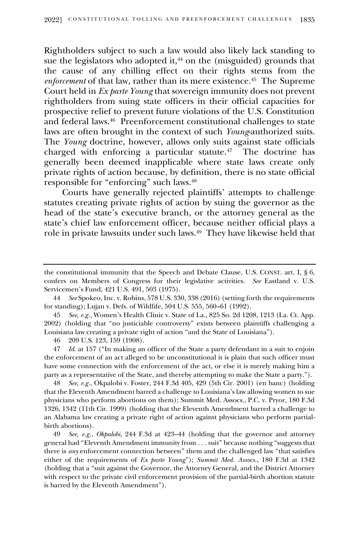Rightholders subject to such a law would also likely lack standing to sue the legislators who adopted it, $44$  on the (misguided) grounds that the cause of any chilling effect on their rights stems from the *enforcement* of that law, rather than its mere existence.<sup>45</sup> The Supreme Court held in *Ex parte Young* that sovereign immunity does not prevent rightholders from suing state officers in their official capacities for prospective relief to prevent future violations of the U.S. Constitution and federal laws.<sup>46</sup> Preenforcement constitutional challenges to state laws are often brought in the context of such *Young*-authorized suits. The *Young* doctrine, however, allows only suits against state officials charged with enforcing a particular statute.<sup>47</sup> The doctrine has generally been deemed inapplicable where state laws create only private rights of action because, by definition, there is no state official responsible for "enforcing" such laws.<sup>48</sup>

Courts have generally rejected plaintiffs' attempts to challenge statutes creating private rights of action by suing the governor as the head of the state's executive branch, or the attorney general as the state's chief law enforcement officer, because neither official plays a role in private lawsuits under such laws. 49 They have likewise held that

45 *See, e.g.*, Women's Health Clinic v. State of La., 825 So. 2d 1208, 1213 (La. Ct. App. 2002) (holding that "no justiciable controversy" exists between plaintiffs challenging a Louisiana law creating a private right of action "and the State of Louisiana").

46 209 U.S. 123, 159 (1908).

47 *Id*. at 157 ("In making an officer of the State a party defendant in a suit to enjoin the enforcement of an act alleged to be unconstitutional it is plain that such officer must have some connection with the enforcement of the act, or else it is merely making him a party as a representative of the State, and thereby attempting to make the State a party.").

48 *See, e.g.*, Okpalobi v. Foster, 244 F.3d 405, 429 (5th Cir. 2001) (en banc) (holding that the Eleventh Amendment barred a challenge to Louisiana's law allowing women to sue physicians who perform abortions on them); Summit Med. Assocs., P.C. v. Pryor, 180 F.3d 1326, 1342 (11th Cir. 1999) (holding that the Eleventh Amendment barred a challenge to an Alabama law creating a private right of action against physicians who perform partialbirth abortions).

49 *See, e.g.*, *Okpalobi*, 244 F.3d at 423–44 (holding that the governor and attorney general had "Eleventh Amendment immunity from . . . suit" because nothing "suggests that there is *any* enforcement connection between" them and the challenged law "that satisfies either of the requirements of *Ex parte Young*"); *Summit Med. Assocs.*, 180 F.3d at 1342 (holding that a "suit against the Governor, the Attorney General, and the District Attorney with respect to the private civil enforcement provision of the partial-birth abortion statute is barred by the Eleventh Amendment").

the constitutional immunity that the Speech and Debate Clause, U.S. CONST. art. I, § 6, confers on Members of Congress for their legislative activities. *See* Eastland v. U.S. Servicemen's Fund, 421 U.S. 491, 503 (1975).

<sup>44</sup> *See* Spokeo, Inc. v. Robins, 578 U.S. 330, 338 (2016) (setting forth the requirements for standing); Lujan v. Defs. of Wildlife, 504 U.S. 555, 560–61 (1992).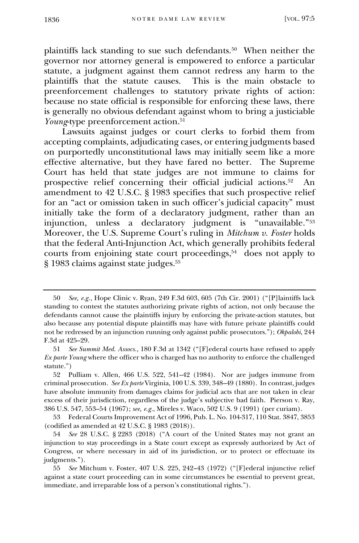plaintiffs lack standing to sue such defendants.<sup>50</sup> When neither the governor nor attorney general is empowered to enforce a particular statute, a judgment against them cannot redress any harm to the plaintiffs that the statute causes. This is the main obstacle to preenforcement challenges to statutory private rights of action: because no state official is responsible for enforcing these laws, there is generally no obvious defendant against whom to bring a justiciable *Young*-type preenforcement action.<sup>51</sup>

Lawsuits against judges or court clerks to forbid them from accepting complaints, adjudicating cases, or entering judgments based on purportedly unconstitutional laws may initially seem like a more effective alternative, but they have fared no better. The Supreme Court has held that state judges are not immune to claims for prospective relief concerning their official judicial actions.<sup>52</sup> An amendment to 42 U.S.C. § 1983 specifies that such prospective relief for an "act or omission taken in such officer's judicial capacity" must initially take the form of a declaratory judgment, rather than an injunction, unless a declaratory judgment is "unavailable."<sup>53</sup> Moreover, the U.S. Supreme Court's ruling in *Mitchum v. Foster* holds that the federal Anti-Injunction Act, which generally prohibits federal courts from enjoining state court proceedings,<sup>54</sup> does not apply to § 1983 claims against state judges. 55

<sup>50</sup> *See, e.g.*, Hope Clinic v. Ryan, 249 F.3d 603, 605 (7th Cir. 2001) ("[P]laintiffs lack standing to contest the statutes authorizing private rights of action, not only because the defendants cannot cause the plaintiffs injury by enforcing the private-action statutes, but also because any potential dispute plaintiffs may have with future private plaintiffs could not be redressed by an injunction running only against public prosecutors."); *Okpalobi*, 244 F.3d at 425–29.

<sup>51</sup> *See Summit Med. Assocs.*, 180 F.3d at 1342 ("[F]ederal courts have refused to apply *Ex parte Young* where the officer who is charged has no authority to enforce the challenged statute.")

<sup>52</sup> Pulliam v. Allen, 466 U.S. 522, 541–42 (1984). Nor are judges immune from criminal prosecution. *See Ex parte* Virginia, 100 U.S. 339, 348–49 (1880). In contrast, judges have absolute immunity from damages claims for judicial acts that are not taken in clear excess of their jurisdiction, regardless of the judge's subjective bad faith. Pierson v. Ray, 386 U.S. 547, 553–54 (1967); *see, e.g.*, Mireles v. Waco, 502 U.S. 9 (1991) (per curiam).

<sup>53</sup> Federal Courts Improvement Act of 1996, Pub. L. No. 104-317, 110 Stat. 3847, 3853 (codified as amended at 42 U.S.C. § 1983 (2018)).

<sup>54</sup> *See* 28 U.S.C. § 2283 (2018) ("A court of the United States may not grant an injunction to stay proceedings in a State court except as expressly authorized by Act of Congress, or where necessary in aid of its jurisdiction, or to protect or effectuate its judgments.").

<sup>55</sup> *See* Mitchum v. Foster, 407 U.S. 225, 242–43 (1972) ("[F]ederal injunctive relief against a state court proceeding can in some circumstances be essential to prevent great, immediate, and irreparable loss of a person's constitutional rights.").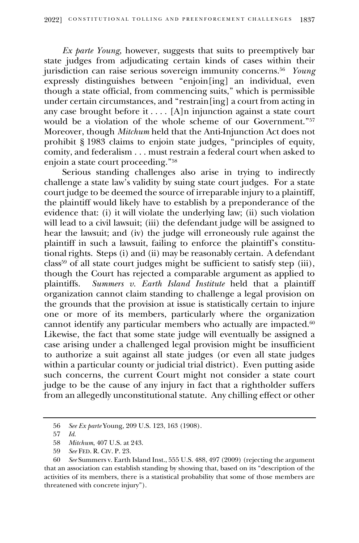*Ex parte Young*, however, suggests that suits to preemptively bar state judges from adjudicating certain kinds of cases within their jurisdiction can raise serious sovereign immunity concerns.<sup>56</sup> *Young* expressly distinguishes between "enjoin[ing] an individual, even though a state official, from commencing suits," which is permissible under certain circumstances, and "restrain[ing] a court from acting in any case brought before it . . . . [A]n injunction against a state court would be a violation of the whole scheme of our Government."<sup>57</sup> Moreover, though *Mitchum* held that the Anti-Injunction Act does not prohibit § 1983 claims to enjoin state judges, "principles of equity, comity, and federalism . . . must restrain a federal court when asked to enjoin a state court proceeding."<sup>58</sup>

Serious standing challenges also arise in trying to indirectly challenge a state law's validity by suing state court judges. For a state court judge to be deemed the source of irreparable injury to a plaintiff, the plaintiff would likely have to establish by a preponderance of the evidence that: (i) it will violate the underlying law; (ii) such violation will lead to a civil lawsuit; (iii) the defendant judge will be assigned to hear the lawsuit; and (iv) the judge will erroneously rule against the plaintiff in such a lawsuit, failing to enforce the plaintiff's constitutional rights. Steps (i) and (ii) may be reasonably certain. A defendant  $\text{class}^{59}$  of all state court judges might be sufficient to satisfy step (iii), though the Court has rejected a comparable argument as applied to plaintiffs. *Summers v. Earth Island Institute* held that a plaintiff organization cannot claim standing to challenge a legal provision on the grounds that the provision at issue is statistically certain to injure one or more of its members, particularly where the organization cannot identify any particular members who actually are impacted.<sup>60</sup> Likewise, the fact that some state judge will eventually be assigned a case arising under a challenged legal provision might be insufficient to authorize a suit against all state judges (or even all state judges within a particular county or judicial trial district). Even putting aside such concerns, the current Court might not consider a state court judge to be the cause of any injury in fact that a rightholder suffers from an allegedly unconstitutional statute. Any chilling effect or other

<sup>56</sup> *See Ex parte* Young, 209 U.S. 123, 163 (1908).

<sup>57</sup> *Id.*

<sup>58</sup> *Mitchum*, 407 U.S. at 243.

<sup>59</sup> *See* FED. R. CIV. P. 23.

<sup>60</sup> *See* Summers v. Earth Island Inst., 555 U.S. 488, 497 (2009) (rejecting the argument that an association can establish standing by showing that, based on its "description of the activities of its members, there is a statistical probability that some of those members are threatened with concrete injury").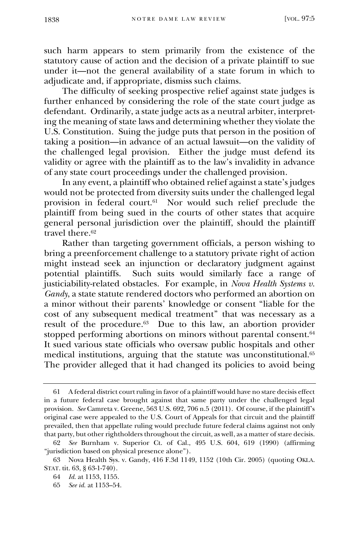such harm appears to stem primarily from the existence of the statutory cause of action and the decision of a private plaintiff to sue under it—not the general availability of a state forum in which to adjudicate and, if appropriate, dismiss such claims.

The difficulty of seeking prospective relief against state judges is further enhanced by considering the role of the state court judge as defendant. Ordinarily, a state judge acts as a neutral arbiter, interpreting the meaning of state laws and determining whether they violate the U.S. Constitution. Suing the judge puts that person in the position of taking a position—in advance of an actual lawsuit—on the validity of the challenged legal provision. Either the judge must defend its validity or agree with the plaintiff as to the law's invalidity in advance of any state court proceedings under the challenged provision.

In any event, a plaintiff who obtained relief against a state's judges would not be protected from diversity suits under the challenged legal provision in federal court.<sup>61</sup> Nor would such relief preclude the plaintiff from being sued in the courts of other states that acquire general personal jurisdiction over the plaintiff, should the plaintiff travel there.<sup>62</sup>

Rather than targeting government officials, a person wishing to bring a preenforcement challenge to a statutory private right of action might instead seek an injunction or declaratory judgment against potential plaintiffs. Such suits would similarly face a range of justiciability-related obstacles. For example, in *Nova Health Systems v. Gandy*, a state statute rendered doctors who performed an abortion on a minor without their parents' knowledge or consent "liable for the cost of any subsequent medical treatment" that was necessary as a result of the procedure.<sup>63</sup> Due to this law, an abortion provider stopped performing abortions on minors without parental consent.<sup>64</sup> It sued various state officials who oversaw public hospitals and other medical institutions, arguing that the statute was unconstitutional.<sup>65</sup> The provider alleged that it had changed its policies to avoid being

<sup>61</sup> A federal district court ruling in favor of a plaintiff would have no stare decisis effect in a future federal case brought against that same party under the challenged legal provision. *See* Camreta v. Greene, 563 U.S. 692, 706 n.5 (2011). Of course, if the plaintiff's original case were appealed to the U.S. Court of Appeals for that circuit and the plaintiff prevailed, then that appellate ruling would preclude future federal claims against not only that party, but other rightholders throughout the circuit, as well, as a matter of stare decisis.

<sup>62</sup> *See* Burnham v. Superior Ct. of Cal., 495 U.S. 604, 619 (1990) (affirming "jurisdiction based on physical presence alone").

<sup>63</sup> Nova Health Sys. v. Gandy, 416 F.3d 1149, 1152 (10th Cir. 2005) (quoting OKLA. STAT. tit. 63, § 63-1-740).

<sup>64</sup> *Id.* at 1153, 1155.

<sup>65</sup> *See id.* at 1153–54.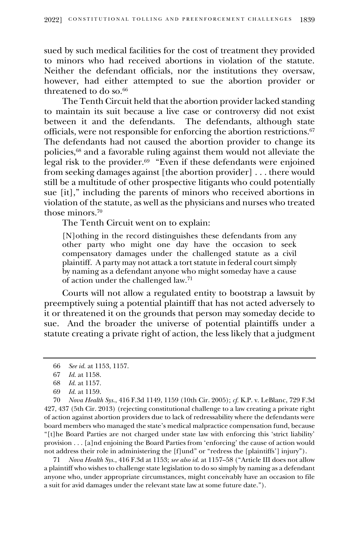sued by such medical facilities for the cost of treatment they provided to minors who had received abortions in violation of the statute. Neither the defendant officials, nor the institutions they oversaw, however, had either attempted to sue the abortion provider or threatened to do so.<sup>66</sup>

The Tenth Circuit held that the abortion provider lacked standing to maintain its suit because a live case or controversy did not exist between it and the defendants. The defendants, although state officials, were not responsible for enforcing the abortion restrictions.<sup>67</sup> The defendants had not caused the abortion provider to change its policies,<sup>68</sup> and a favorable ruling against them would not alleviate the legal risk to the provider.<sup>69</sup> "Even if these defendants were enjoined from seeking damages against [the abortion provider] . . . there would still be a multitude of other prospective litigants who could potentially sue [it]," including the parents of minors who received abortions in violation of the statute, as well as the physicians and nurses who treated those minors. 70

The Tenth Circuit went on to explain:

[N]othing in the record distinguishes these defendants from any other party who might one day have the occasion to seek compensatory damages under the challenged statute as a civil plaintiff. A party may not attack a tort statute in federal court simply by naming as a defendant anyone who might someday have a cause of action under the challenged law.<sup>71</sup>

Courts will not allow a regulated entity to bootstrap a lawsuit by preemptively suing a potential plaintiff that has not acted adversely to it or threatened it on the grounds that person may someday decide to sue. And the broader the universe of potential plaintiffs under a statute creating a private right of action, the less likely that a judgment

70 *Nova Health Sys.*, 416 F.3d 1149, 1159 (10th Cir. 2005); *cf.* K.P. v. LeBlanc, 729 F.3d 427, 437 (5th Cir. 2013) (rejecting constitutional challenge to a law creating a private right of action against abortion providers due to lack of redressability where the defendants were board members who managed the state's medical malpractice compensation fund, because "[t]he Board Parties are not charged under state law with enforcing this 'strict liability' provision . . . [a]nd enjoining the Board Parties from 'enforcing' the cause of action would not address their role in administering the [f]und" or "redress the [plaintiffs'] injury").

71 *Nova Health Sys.*, 416 F.3d at 1153; *see also id*. at 1157–58 ("Article III does not allow a plaintiff who wishes to challenge state legislation to do so simply by naming as a defendant anyone who, under appropriate circumstances, might conceivably have an occasion to file a suit for avid damages under the relevant state law at some future date.").

<sup>66</sup> *See id.* at 1153, 1157.

<sup>67</sup> *Id.* at 1158.

<sup>68</sup> *Id.* at 1157.

<sup>69</sup> *Id.* at 1159.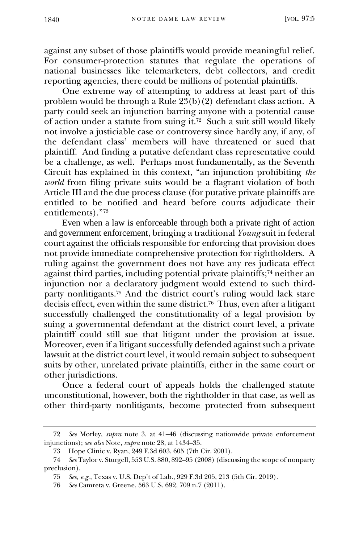against any subset of those plaintiffs would provide meaningful relief. For consumer-protection statutes that regulate the operations of national businesses like telemarketers, debt collectors, and credit reporting agencies, there could be millions of potential plaintiffs.

One extreme way of attempting to address at least part of this problem would be through a Rule  $23(b)(2)$  defendant class action. A party could seek an injunction barring anyone with a potential cause of action under a statute from suing it. 72 Such a suit still would likely not involve a justiciable case or controversy since hardly any, if any, of the defendant class' members will have threatened or sued that plaintiff. And finding a putative defendant class representative could be a challenge, as well. Perhaps most fundamentally, as the Seventh Circuit has explained in this context, "an injunction prohibiting *the world* from filing private suits would be a flagrant violation of both Article III and the due process clause (for putative private plaintiffs are entitled to be notified and heard before courts adjudicate their entitlements)."<sup>73</sup>

Even when a law is enforceable through both a private right of action and government enforcement, bringing a traditional *Young* suit in federal court against the officials responsible for enforcing that provision does not provide immediate comprehensive protection for rightholders. A ruling against the government does not have any res judicata effect against third parties, including potential private plaintiffs;<sup>74</sup> neither an injunction nor a declaratory judgment would extend to such thirdparty nonlitigants. <sup>75</sup> And the district court's ruling would lack stare decisis effect, even within the same district.<sup>76</sup> Thus, even after a litigant successfully challenged the constitutionality of a legal provision by suing a governmental defendant at the district court level, a private plaintiff could still sue that litigant under the provision at issue. Moreover, even if a litigant successfully defended against such a private lawsuit at the district court level, it would remain subject to subsequent suits by other, unrelated private plaintiffs, either in the same court or other jurisdictions.

Once a federal court of appeals holds the challenged statute unconstitutional, however, both the rightholder in that case, as well as other third-party nonlitigants, become protected from subsequent

<sup>72</sup> *See* Morley, *supra* note 3, at 41–46 (discussing nationwide private enforcement injunctions); *see also* Note, *supra* note 28, at 1434–35.

<sup>73</sup> Hope Clinic v. Ryan, 249 F.3d 603, 605 (7th Cir. 2001).

<sup>74</sup> *See* Taylor v. Sturgell, 553 U.S. 880, 892–95 (2008) (discussing the scope of nonparty preclusion).

<sup>75</sup> *See, e.g.*, Texas v. U.S. Dep't of Lab., 929 F.3d 205, 213 (5th Cir. 2019).

<sup>76</sup> *See* Camreta v. Greene, 563 U.S. 692, 709 n.7 (2011).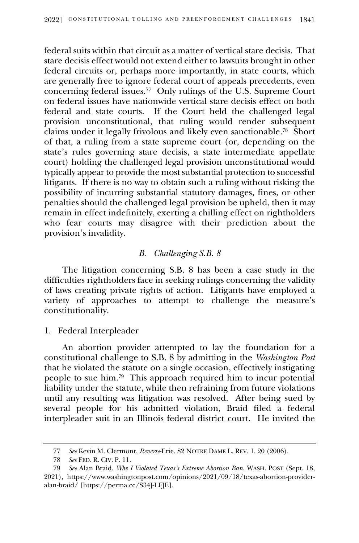federal suits within that circuit as a matter of vertical stare decisis. That stare decisis effect would not extend either to lawsuits brought in other federal circuits or, perhaps more importantly, in state courts, which are generally free to ignore federal court of appeals precedents, even concerning federal issues.<sup>77</sup> Only rulings of the U.S. Supreme Court on federal issues have nationwide vertical stare decisis effect on both federal and state courts. If the Court held the challenged legal provision unconstitutional, that ruling would render subsequent claims under it legally frivolous and likely even sanctionable. 78 Short of that, a ruling from a state supreme court (or, depending on the state's rules governing stare decisis, a state intermediate appellate court) holding the challenged legal provision unconstitutional would typically appear to provide the most substantial protection to successful litigants. If there is no way to obtain such a ruling without risking the possibility of incurring substantial statutory damages, fines, or other penalties should the challenged legal provision be upheld, then it may remain in effect indefinitely, exerting a chilling effect on rightholders who fear courts may disagree with their prediction about the provision's invalidity.

# *B. Challenging S.B. 8*

The litigation concerning S.B. 8 has been a case study in the difficulties rightholders face in seeking rulings concerning the validity of laws creating private rights of action. Litigants have employed a variety of approaches to attempt to challenge the measure's constitutionality.

1. Federal Interpleader

An abortion provider attempted to lay the foundation for a constitutional challenge to S.B. 8 by admitting in the *Washington Post*  that he violated the statute on a single occasion, effectively instigating people to sue him.<sup>79</sup> This approach required him to incur potential liability under the statute, while then refraining from future violations until any resulting was litigation was resolved. After being sued by several people for his admitted violation, Braid filed a federal interpleader suit in an Illinois federal district court. He invited the

<sup>77</sup> *See* Kevin M. Clermont, *Reverse*-Erie, 82 NOTRE DAME L. REV. 1, 20 (2006).

<sup>78</sup> *See* FED. R. CIV. P. 11.

<sup>79</sup> *See* Alan Braid, *Why I Violated Texas's Extreme Abortion Ban*, WASH. POST (Sept. 18, 2021), https://www.washingtonpost.com/opinions/2021/09/18/texas-abortion-provideralan-braid/ [https://perma.cc/S34J-LFJE].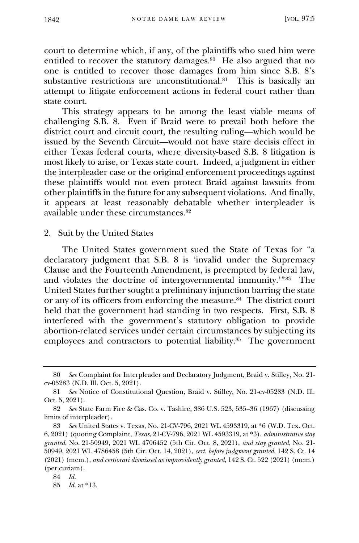court to determine which, if any, of the plaintiffs who sued him were entitled to recover the statutory damages. 80 He also argued that no one is entitled to recover those damages from him since S.B. 8's substantive restrictions are unconstitutional.<sup>81</sup> This is basically an attempt to litigate enforcement actions in federal court rather than state court.

This strategy appears to be among the least viable means of challenging S.B. 8. Even if Braid were to prevail both before the district court and circuit court, the resulting ruling—which would be issued by the Seventh Circuit—would not have stare decisis effect in either Texas federal courts, where diversity-based S.B. 8 litigation is most likely to arise, or Texas state court. Indeed, a judgment in either the interpleader case or the original enforcement proceedings against these plaintiffs would not even protect Braid against lawsuits from other plaintiffs in the future for any subsequent violations. And finally, it appears at least reasonably debatable whether interpleader is available under these circumstances.<sup>82</sup>

#### 2. Suit by the United States

The United States government sued the State of Texas for "a declaratory judgment that S.B. 8 is 'invalid under the Supremacy Clause and the Fourteenth Amendment, is preempted by federal law, and violates the doctrine of intergovernmental immunity.'"<sup>83</sup> The United States further sought a preliminary injunction barring the state or any of its officers from enforcing the measure. 84 The district court held that the government had standing in two respects. First, S.B. 8 interfered with the government's statutory obligation to provide abortion-related services under certain circumstances by subjecting its employees and contractors to potential liability.<sup>85</sup> The government

<sup>80</sup> *See* Complaint for Interpleader and Declaratory Judgment, Braid v. Stilley, No. 21 cv-05283 (N.D. Ill. Oct. 5, 2021).

<sup>81</sup> *See* Notice of Constitutional Question, Braid v. Stilley, No. 21-cv-05283 (N.D. Ill. Oct. 5, 2021).

<sup>82</sup> *See* State Farm Fire & Cas. Co. v. Tashire, 386 U.S. 523, 535–36 (1967) (discussing limits of interpleader).

<sup>83</sup> *See* United States v. Texas, No. 21-CV-796, 2021 WL 4593319, at \*6 (W.D. Tex. Oct. 6, 2021) (quoting Complaint, *Texas*, 21-CV-796, 2021 WL 4593319, at \*3), *administrative stay granted*, No. 21-50949, 2021 WL 4706452 (5th Cir. Oct. 8, 2021), *and stay granted*, No. 21- 50949, 2021 WL 4786458 (5th Cir. Oct. 14, 2021), *cert. before judgment granted*, 142 S. Ct. 14 (2021) (mem.), *and certiorari dismissed as improvidently granted*, 142 S. Ct. 522 (2021) (mem.) (per curiam).

<sup>84</sup> *Id.*

<sup>85</sup> *Id.* at \*13.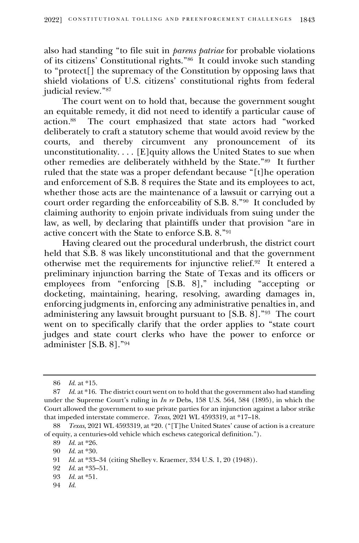also had standing "to file suit in *parens patriae* for probable violations of its citizens' Constitutional rights."<sup>86</sup> It could invoke such standing to "protect[] the supremacy of the Constitution by opposing laws that shield violations of U.S. citizens' constitutional rights from federal judicial review."<sup>87</sup>

The court went on to hold that, because the government sought an equitable remedy, it did not need to identify a particular cause of action.<sup>88</sup> The court emphasized that state actors had "worked deliberately to craft a statutory scheme that would avoid review by the courts, and thereby circumvent any pronouncement of its unconstitutionality.  $\dots$  [E] quity allows the United States to sue when other remedies are deliberately withheld by the State."<sup>89</sup> It further ruled that the state was a proper defendant because "[t]he operation and enforcement of S.B. 8 requires the State and its employees to act, whether those acts are the maintenance of a lawsuit or carrying out a court order regarding the enforceability of S.B. 8."<sup>90</sup> It concluded by claiming authority to enjoin private individuals from suing under the law, as well, by declaring that plaintiffs under that provision "are in active concert with the State to enforce S.B. 8."<sup>91</sup>

Having cleared out the procedural underbrush, the district court held that S.B. 8 was likely unconstitutional and that the government otherwise met the requirements for injunctive relief.<sup>92</sup> It entered a preliminary injunction barring the State of Texas and its officers or employees from "enforcing [S.B. 8]," including "accepting or docketing, maintaining, hearing, resolving, awarding damages in, enforcing judgments in, enforcing any administrative penalties in, and administering any lawsuit brought pursuant to [S.B. 8]."<sup>93</sup> The court went on to specifically clarify that the order applies to "state court judges and state court clerks who have the power to enforce or administer [S.B. 8]."<sup>94</sup>

94 *Id.*

<sup>86</sup> *Id.* at \*15.

<sup>87</sup> *Id.* at \*16. The district court went on to hold that the government also had standing under the Supreme Court's ruling in *In re* Debs, 158 U.S. 564, 584 (1895), in which the Court allowed the government to sue private parties for an injunction against a labor strike that impeded interstate commerce. *Texas*, 2021 WL 4593319, at \*17–18.

<sup>88</sup> *Texas*, 2021 WL 4593319, at \*20. ("[T]he United States' cause of action is a creature of equity, a centuries-old vehicle which eschews categorical definition.").

<sup>89</sup> *Id.* at \*26.

<sup>90</sup> *Id.* at \*30.

<sup>91</sup> *Id.* at \*33–34 (citing Shelley v. Kraemer, 334 U.S. 1, 20 (1948)).

<sup>92</sup> *Id.* at \*35–51.

<sup>93</sup> *Id.* at \*51.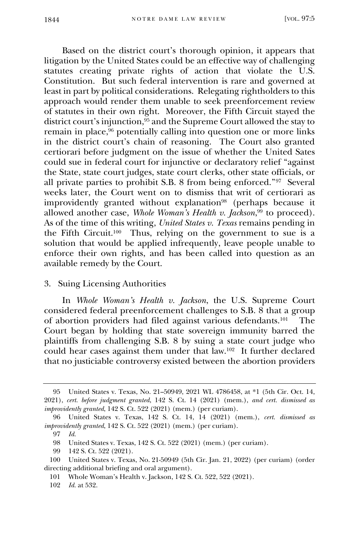Based on the district court's thorough opinion, it appears that litigation by the United States could be an effective way of challenging statutes creating private rights of action that violate the U.S. Constitution. But such federal intervention is rare and governed at least in part by political considerations. Relegating rightholders to this approach would render them unable to seek preenforcement review of statutes in their own right. Moreover, the Fifth Circuit stayed the district court's injunction,  $95$  and the Supreme Court allowed the stay to remain in place,<sup>96</sup> potentially calling into question one or more links in the district court's chain of reasoning. The Court also granted certiorari before judgment on the issue of whether the United Sates could sue in federal court for injunctive or declaratory relief "against the State, state court judges, state court clerks, other state officials, or all private parties to prohibit S.B. 8 from being enforced."<sup>97</sup> Several weeks later, the Court went on to dismiss that writ of certiorari as improvidently granted without explanation<sup>98</sup> (perhaps because it allowed another case, *Whole Woman's Health v. Jackson*, <sup>99</sup> to proceed). As of the time of this writing, *United States v. Texas* remains pending in the Fifth Circuit. 100 Thus, relying on the government to sue is a solution that would be applied infrequently, leave people unable to enforce their own rights, and has been called into question as an available remedy by the Court.

#### 3. Suing Licensing Authorities

In *Whole Woman's Health v. Jackson*, the U.S. Supreme Court considered federal preenforcement challenges to S.B. 8 that a group of abortion providers had filed against various defendants.<sup>101</sup> The Court began by holding that state sovereign immunity barred the plaintiffs from challenging S.B. 8 by suing a state court judge who could hear cases against them under that law.<sup>102</sup> It further declared that no justiciable controversy existed between the abortion providers

<sup>95</sup> United States v. Texas, No. 21–50949, 2021 WL 4786458, at \*1 (5th Cir. Oct. 14, 2021), *cert. before judgment granted*, 142 S. Ct. 14 (2021) (mem.), *and cert. dismissed as improvidently granted*, 142 S. Ct. 522 (2021) (mem.) (per curiam).

<sup>96</sup> United States v. Texas, 142 S. Ct. 14, 14 (2021) (mem.), *cert. dismissed as improvidently granted*, 142 S. Ct. 522 (2021) (mem.) (per curiam).

<sup>97</sup> *Id.*

<sup>98</sup> United States v. Texas, 142 S. Ct. 522 (2021) (mem.) (per curiam).

<sup>99</sup> 142 S. Ct. 522 (2021).

<sup>100</sup> United States v. Texas, No. 21-50949 (5th Cir. Jan. 21, 2022) (per curiam) (order directing additional briefing and oral argument).

<sup>101</sup> Whole Woman's Health v. Jackson, 142 S. Ct. 522, 522 (2021).

<sup>102</sup> *Id.* at 532.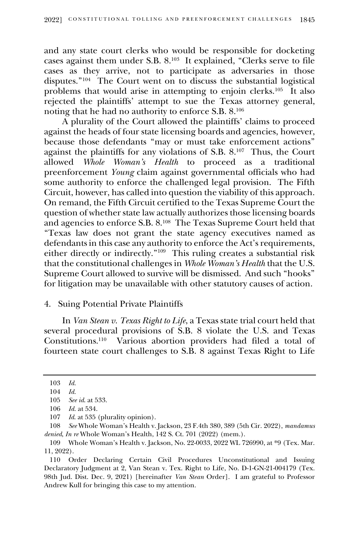and any state court clerks who would be responsible for docketing cases against them under S.B. 8.<sup>103</sup> It explained, "Clerks serve to file cases as they arrive, not to participate as adversaries in those disputes."<sup>104</sup> The Court went on to discuss the substantial logistical problems that would arise in attempting to enjoin clerks.<sup>105</sup> It also rejected the plaintiffs' attempt to sue the Texas attorney general, noting that he had no authority to enforce S.B. 8.<sup>106</sup>

A plurality of the Court allowed the plaintiffs' claims to proceed against the heads of four state licensing boards and agencies, however, because those defendants "may or must take enforcement actions" against the plaintiffs for any violations of S.B. 8.<sup>107</sup> Thus, the Court allowed *Whole Woman's Health* to proceed as a traditional preenforcement *Young* claim against governmental officials who had some authority to enforce the challenged legal provision. The Fifth Circuit, however, has called into question the viability of this approach. On remand, the Fifth Circuit certified to the Texas Supreme Court the question of whether state law actually authorizes those licensing boards and agencies to enforce S.B. 8.<sup>108</sup> The Texas Supreme Court held that "Texas law does not grant the state agency executives named as defendants in this case any authority to enforce the Act's requirements, either directly or indirectly."<sup>109</sup> This ruling creates a substantial risk that the constitutional challenges in *Whole Woman's Health* that the U.S. Supreme Court allowed to survive will be dismissed. And such "hooks" for litigation may be unavailable with other statutory causes of action.

## 4. Suing Potential Private Plaintiffs

In *Van Stean v. Texas Right to Life*, a Texas state trial court held that several procedural provisions of S.B. 8 violate the U.S. and Texas Constitutions.<sup>110</sup> Various abortion providers had filed a total of fourteen state court challenges to S.B. 8 against Texas Right to Life

<sup>103</sup> *Id.*

<sup>104</sup> *Id.*

<sup>105</sup> *See id*. at 533.

<sup>106</sup> *Id.* at 534.

<sup>107</sup> *Id*. at 535 (plurality opinion).

<sup>108</sup> *See* Whole Woman's Health v. Jackson, 23 F.4th 380, 389 (5th Cir. 2022), *mandamus denied*, *In re* Whole Woman's Health, 142 S. Ct. 701 (2022) (mem.).

<sup>109</sup> Whole Woman's Health v. Jackson, No. 22-0033, 2022 WL 726990, at \*9 (Tex. Mar. 11, 2022).

<sup>110</sup> Order Declaring Certain Civil Procedures Unconstitutional and Issuing Declaratory Judgment at 2, Van Stean v. Tex. Right to Life, No. D-1-GN-21-004179 (Tex. 98th Jud. Dist. Dec. 9, 2021) [hereinafter *Van Stean* Order]. I am grateful to Professor Andrew Kull for bringing this case to my attention.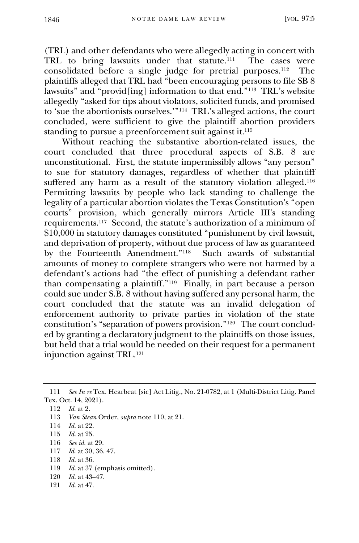(TRL) and other defendants who were allegedly acting in concert with TRL to bring lawsuits under that statute.<sup>111</sup> The cases were consolidated before a single judge for pretrial purposes.<sup>112</sup> The plaintiffs alleged that TRL had "been encouraging persons to file SB 8 lawsuits" and "provid[ing] information to that end."<sup>113</sup> TRL's website allegedly "asked for tips about violators, solicited funds, and promised to 'sue the abortionists ourselves.'"<sup>114</sup> TRL's alleged actions, the court concluded, were sufficient to give the plaintiff abortion providers standing to pursue a preenforcement suit against it.<sup>115</sup>

Without reaching the substantive abortion-related issues, the court concluded that three procedural aspects of S.B. 8 are unconstitutional. First, the statute impermissibly allows "any person" to sue for statutory damages, regardless of whether that plaintiff suffered any harm as a result of the statutory violation alleged.<sup>116</sup> Permitting lawsuits by people who lack standing to challenge the legality of a particular abortion violates the Texas Constitution's "open courts" provision, which generally mirrors Article III's standing requirements.<sup>117</sup> Second, the statute's authorization of a minimum of \$10,000 in statutory damages constituted "punishment by civil lawsuit, and deprivation of property, without due process of law as guaranteed by the Fourteenth Amendment."<sup>118</sup> Such awards of substantial amounts of money to complete strangers who were not harmed by a defendant's actions had "the effect of punishing a defendant rather than compensating a plaintiff."<sup>119</sup> Finally, in part because a person could sue under S.B. 8 without having suffered any personal harm, the court concluded that the statute was an invalid delegation of enforcement authority to private parties in violation of the state constitution's "separation of powers provision."<sup>120</sup> The court concluded by granting a declaratory judgment to the plaintiffs on those issues, but held that a trial would be needed on their request for a permanent injunction against TRL.<sup>121</sup>

- 117 *Id*. at 30, 36, 47.
- 118 *Id.* at 36.
- 119 *Id.* at 37 (emphasis omitted).
- 120 *Id.* at 43–47.
- 121 *Id.* at 47.

<sup>111</sup> *See In re* Tex. Hearbeat [sic] Act Litig., No. 21-0782, at 1 (Multi-District Litig. Panel Tex. Oct. 14, 2021).

<sup>112</sup> *Id*. at 2.

<sup>113</sup> *Van Stean* Order, *supra* note 110, at 21.

<sup>114</sup> *Id.* at 22.

<sup>115</sup> *Id.* at 25.

<sup>116</sup> *See id.* at 29.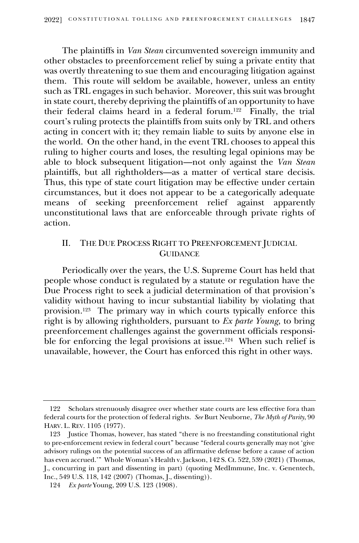The plaintiffs in *Van Stean* circumvented sovereign immunity and other obstacles to preenforcement relief by suing a private entity that was overtly threatening to sue them and encouraging litigation against them. This route will seldom be available, however, unless an entity such as TRL engages in such behavior. Moreover, this suit was brought in state court, thereby depriving the plaintiffs of an opportunity to have their federal claims heard in a federal forum.<sup>122</sup> Finally, the trial court's ruling protects the plaintiffs from suits only by TRL and others acting in concert with it; they remain liable to suits by anyone else in the world. On the other hand, in the event TRL chooses to appeal this ruling to higher courts and loses, the resulting legal opinions may be able to block subsequent litigation—not only against the *Van Stean*  plaintiffs, but all rightholders—as a matter of vertical stare decisis. Thus, this type of state court litigation may be effective under certain circumstances, but it does not appear to be a categorically adequate means of seeking preenforcement relief against apparently unconstitutional laws that are enforceable through private rights of action.

# II. THE DUE PROCESS RIGHT TO PREENFORCEMENT JUDICIAL **GUIDANCE**

Periodically over the years, the U.S. Supreme Court has held that people whose conduct is regulated by a statute or regulation have the Due Process right to seek a judicial determination of that provision's validity without having to incur substantial liability by violating that provision.<sup>123</sup> The primary way in which courts typically enforce this right is by allowing rightholders, pursuant to *Ex parte Young*, to bring preenforcement challenges against the government officials responsible for enforcing the legal provisions at issue.<sup>124</sup> When such relief is unavailable, however, the Court has enforced this right in other ways.

<sup>122</sup> Scholars strenuously disagree over whether state courts are less effective fora than federal courts for the protection of federal rights. *See* Burt Neuborne, *The Myth of Parity*, 90 HARV. L. REV. 1105 (1977).

<sup>123</sup> Justice Thomas, however, has stated "there is no freestanding constitutional right to pre-enforcement review in federal court" because "federal courts generally may not 'give advisory rulings on the potential success of an affirmative defense before a cause of action has even accrued.'" Whole Woman's Health v. Jackson, 142 S. Ct. 522, 539 (2021) (Thomas, J., concurring in part and dissenting in part) (quoting MedImmune, Inc. v. Genentech, Inc., 549 U.S. 118, 142 (2007) (Thomas, J., dissenting)).

<sup>124</sup> *Ex parte* Young, 209 U.S. 123 (1908).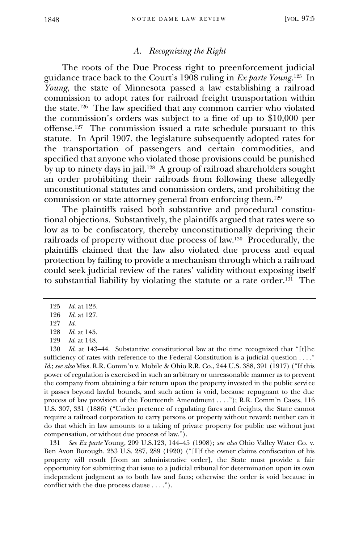## *A. Recognizing the Right*

The roots of the Due Process right to preenforcement judicial guidance trace back to the Court's 1908 ruling in *Ex parte Young*. 125 In *Young*, the state of Minnesota passed a law establishing a railroad commission to adopt rates for railroad freight transportation within the state.<sup>126</sup> The law specified that any common carrier who violated the commission's orders was subject to a fine of up to \$10,000 per offense.<sup>127</sup> The commission issued a rate schedule pursuant to this statute. In April 1907, the legislature subsequently adopted rates for the transportation of passengers and certain commodities, and specified that anyone who violated those provisions could be punished by up to ninety days in jail.<sup>128</sup> A group of railroad shareholders sought an order prohibiting their railroads from following these allegedly unconstitutional statutes and commission orders, and prohibiting the commission or state attorney general from enforcing them.<sup>129</sup>

The plaintiffs raised both substantive and procedural constitutional objections. Substantively, the plaintiffs argued that rates were so low as to be confiscatory, thereby unconstitutionally depriving their railroads of property without due process of law.<sup>130</sup> Procedurally, the plaintiffs claimed that the law also violated due process and equal protection by failing to provide a mechanism through which a railroad could seek judicial review of the rates' validity without exposing itself to substantial liability by violating the statute or a rate order. 131 The

130 *Id*. at 143–44. Substantive constitutional law at the time recognized that "[t]he sufficiency of rates with reference to the Federal Constitution is a judicial question . . . ." *Id*.; *see also* Miss. R.R. Comm'n v. Mobile & Ohio R.R. Co., 244 U.S. 388, 391 (1917) ("If this power of regulation is exercised in such an arbitrary or unreasonable manner as to prevent the company from obtaining a fair return upon the property invested in the public service it passes beyond lawful bounds, and such action is void, because repugnant to the due process of law provision of the Fourteenth Amendment . . . ."); R.R. Comm'n Cases, 116 U.S. 307, 331 (1886) ("Under pretence of regulating fares and freights, the State cannot require a railroad corporation to carry persons or property without reward; neither can it do that which in law amounts to a taking of private property for public use without just compensation, or without due process of law.").

131 *See Ex parte* Young, 209 U.S.123, 144–45 (1908); *see also* Ohio Valley Water Co. v. Ben Avon Borough, 253 U.S. 287, 289 (1920) ("[I]f the owner claims confiscation of his property will result [from an administrative order], the State must provide a fair opportunity for submitting that issue to a judicial tribunal for determination upon its own independent judgment as to both law and facts; otherwise the order is void because in conflict with the due process clause . . . .").

<sup>125</sup> *Id.* at 123.

<sup>126</sup> *Id.* at 127.

<sup>127</sup> *Id.*

<sup>128</sup> *Id*. at 145.

<sup>129</sup> *Id*. at 148.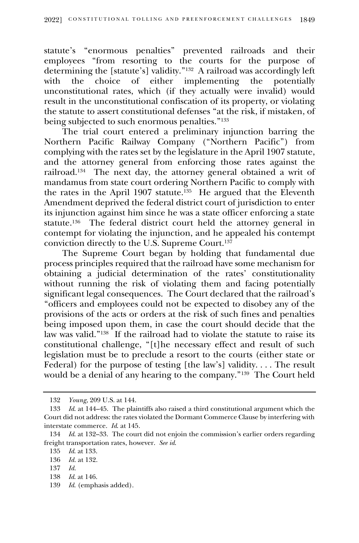statute's "enormous penalties" prevented railroads and their employees "from resorting to the courts for the purpose of determining the [statute's] validity."<sup>132</sup> A railroad was accordingly left with the choice of either implementing the potentially unconstitutional rates, which (if they actually were invalid) would result in the unconstitutional confiscation of its property, or violating the statute to assert constitutional defenses "at the risk, if mistaken, of being subjected to such enormous penalties."<sup>133</sup>

The trial court entered a preliminary injunction barring the Northern Pacific Railway Company ("Northern Pacific") from complying with the rates set by the legislature in the April 1907 statute, and the attorney general from enforcing those rates against the railroad.<sup>134</sup> The next day, the attorney general obtained a writ of mandamus from state court ordering Northern Pacific to comply with the rates in the April 1907 statute.<sup>135</sup> He argued that the Eleventh Amendment deprived the federal district court of jurisdiction to enter its injunction against him since he was a state officer enforcing a state statute.<sup>136</sup> The federal district court held the attorney general in contempt for violating the injunction, and he appealed his contempt conviction directly to the U.S. Supreme Court.<sup>137</sup>

The Supreme Court began by holding that fundamental due process principles required that the railroad have some mechanism for obtaining a judicial determination of the rates' constitutionality without running the risk of violating them and facing potentially significant legal consequences. The Court declared that the railroad's "officers and employees could not be expected to disobey any of the provisions of the acts or orders at the risk of such fines and penalties being imposed upon them, in case the court should decide that the law was valid."<sup>138</sup> If the railroad had to violate the statute to raise its constitutional challenge, "[t]he necessary effect and result of such legislation must be to preclude a resort to the courts (either state or Federal) for the purpose of testing [the law's] validity. . . . The result would be a denial of any hearing to the company."<sup>139</sup> The Court held

- 138 *Id*. at 146.
- 139 *Id*. (emphasis added).

<sup>132</sup> *Young*, 209 U.S. at 144.

<sup>133</sup> *Id*. at 144–45. The plaintiffs also raised a third constitutional argument which the Court did not address: the rates violated the Dormant Commerce Clause by interfering with interstate commerce. *Id*. at 145.

<sup>134</sup> *Id*. at 132–33. The court did not enjoin the commission's earlier orders regarding freight transportation rates, however. *See id*.

<sup>135</sup> *Id*. at 133.

<sup>136</sup> *Id.* at 132.

<sup>137</sup> *Id.*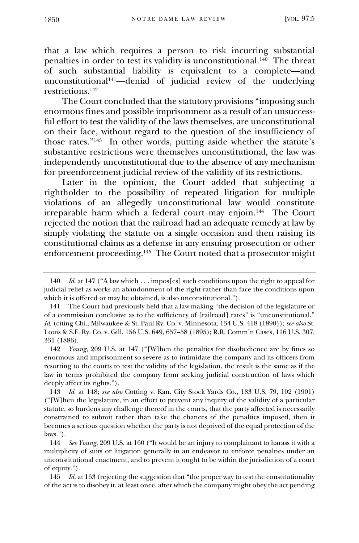that a law which requires a person to risk incurring substantial penalties in order to test its validity is unconstitutional.<sup>140</sup> The threat of such substantial liability is equivalent to a complete—and unconstitutional<sup>141</sup>—denial of judicial review of the underlying restrictions.<sup>142</sup>

The Court concluded that the statutory provisions "imposing such enormous fines and possible imprisonment as a result of an unsuccessful effort to test the validity of the laws themselves, are unconstitutional on their face, without regard to the question of the insufficiency of those rates."<sup>143</sup> In other words, putting aside whether the statute's substantive restrictions were themselves unconstitutional, the law was independently unconstitutional due to the absence of any mechanism for preenforcement judicial review of the validity of its restrictions.

Later in the opinion, the Court added that subjecting a rightholder to the possibility of repeated litigation for multiple violations of an allegedly unconstitutional law would constitute irreparable harm which a federal court may enjoin.<sup>144</sup> The Court rejected the notion that the railroad had an adequate remedy at law by simply violating the statute on a single occasion and then raising its constitutional claims as a defense in any ensuing prosecution or other enforcement proceeding. 145 The Court noted that a prosecutor might

<sup>140</sup> *Id*. at 147 ("A law which . . . impos[es] such conditions upon the right to appeal for judicial relief as works an abandonment of the right rather than face the conditions upon which it is offered or may be obtained, is also unconstitutional.").

<sup>141</sup> The Court had previously held that a law making "the decision of the legislature or of a commission conclusive as to the sufficiency of [railroad] rates" is "unconstitutional." *Id*. (citing Chi., Milwaukee & St. Paul Ry. Co. v. Minnesota, 134 U.S. 418 (1890)); *see also* St. Louis & S.F. Ry. Co. v. Gill, 156 U.S. 649, 657–58 (1895); R.R. Comm'n Cases, 116 U.S. 307, 331 (1886).

<sup>142</sup> *Young*, 209 U.S. at 147 ("[W]hen the penalties for disobedience are by fines so enormous and imprisonment so severe as to intimidate the company and its officers from resorting to the courts to test the validity of the legislation, the result is the same as if the law in terms prohibited the company from seeking judicial construction of laws which deeply affect its rights.").

<sup>143</sup> *Id*. at 148; *see also* Cotting v. Kan. City Stock Yards Co., 183 U.S. 79, 102 (1901) ("[W]hen the legislature, in an effort to prevent any inquiry of the validity of a particular statute, so burdens any challenge thereof in the courts, that the party affected is necessarily constrained to submit rather than take the chances of the penalties imposed, then it becomes a serious question whether the party is not deprived of the equal protection of the laws.").

<sup>144</sup> *See Young*, 209 U.S. at 160 ("It would be an injury to complainant to harass it with a multiplicity of suits or litigation generally in an endeavor to enforce penalties under an unconstitutional enactment, and to prevent it ought to be within the jurisdiction of a court of equity.").

<sup>145</sup> *Id.* at 163 (rejecting the suggestion that "the proper way to test the constitutionality of the act is to disobey it, at least once, after which the company might obey the act pending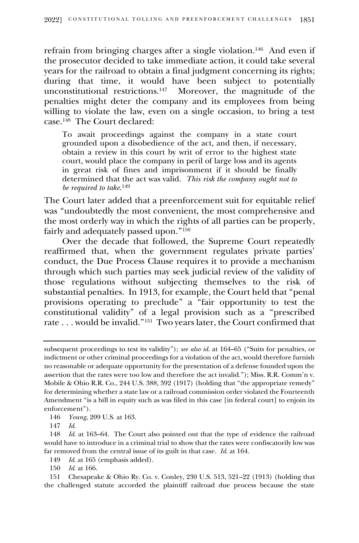refrain from bringing charges after a single violation.<sup>146</sup> And even if the prosecutor decided to take immediate action, it could take several years for the railroad to obtain a final judgment concerning its rights; during that time, it would have been subject to potentially unconstitutional restrictions.<sup>147</sup> Moreover, the magnitude of the penalties might deter the company and its employees from being willing to violate the law, even on a single occasion, to bring a test case.<sup>148</sup> The Court declared:

To await proceedings against the company in a state court grounded upon a disobedience of the act, and then, if necessary, obtain a review in this court by writ of error to the highest state court, would place the company in peril of large loss and its agents in great risk of fines and imprisonment if it should be finally determined that the act was valid. *This risk the company ought not to be required to take*. 149

The Court later added that a preenforcement suit for equitable relief was "undoubtedly the most convenient, the most comprehensive and the most orderly way in which the rights of all parties can be properly, fairly and adequately passed upon."<sup>150</sup>

Over the decade that followed, the Supreme Court repeatedly reaffirmed that, when the government regulates private parties' conduct, the Due Process Clause requires it to provide a mechanism through which such parties may seek judicial review of the validity of those regulations without subjecting themselves to the risk of substantial penalties. In 1913, for example, the Court held that "penal provisions operating to preclude" a "fair opportunity to test the constitutional validity" of a legal provision such as a "prescribed rate . . . would be invalid."<sup>151</sup> Two years later, the Court confirmed that

146 *Young*, 209 U.S. at 163.

147 *Id*.

149 *Id*. at 165 (emphasis added).

150 *Id*. at 166.

151 Chesapeake & Ohio Ry. Co. v. Conley, 230 U.S. 513, 521–22 (1913) (holding that the challenged statute accorded the plaintiff railroad due process because the state

subsequent proceedings to test its validity"); *see also id*. at 164–65 ("Suits for penalties, or indictment or other criminal proceedings for a violation of the act, would therefore furnish no reasonable or adequate opportunity for the presentation of a defense founded upon the assertion that the rates were too low and therefore the act invalid."); Miss. R.R. Comm'n v. Mobile & Ohio R.R. Co., 244 U.S. 388, 392 (1917) (holding that "the appropriate remedy" for determining whether a state law or a railroad commission order violated the Fourteenth Amendment "is a bill in equity such as was filed in this case [in federal court] to enjoin its enforcement").

<sup>148</sup> *Id*. at 163–64. The Court also pointed out that the type of evidence the railroad would have to introduce in a criminal trial to show that the rates were confiscatorily low was far removed from the central issue of its guilt in that case. *Id*. at 164.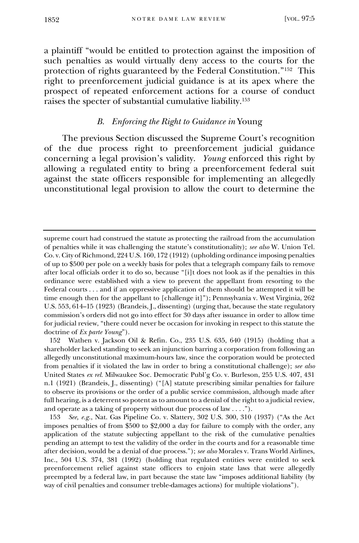a plaintiff "would be entitled to protection against the imposition of such penalties as would virtually deny access to the courts for the protection of rights guaranteed by the Federal Constitution."<sup>152</sup> This right to preenforcement judicial guidance is at its apex where the prospect of repeated enforcement actions for a course of conduct raises the specter of substantial cumulative liability.<sup>153</sup>

# *B. Enforcing the Right to Guidance in* Young

The previous Section discussed the Supreme Court's recognition of the due process right to preenforcement judicial guidance concerning a legal provision's validity. *Young* enforced this right by allowing a regulated entity to bring a preenforcement federal suit against the state officers responsible for implementing an allegedly unconstitutional legal provision to allow the court to determine the

supreme court had construed the statute as protecting the railroad from the accumulation of penalties while it was challenging the statute's constitutionality); *see also* W. Union Tel. Co. v. City of Richmond, 224 U.S. 160, 172 (1912) (upholding ordinance imposing penalties of up to \$500 per pole on a weekly basis for poles that a telegraph company fails to remove after local officials order it to do so, because "[i]t does not look as if the penalties in this ordinance were established with a view to prevent the appellant from resorting to the Federal courts . . . and if an oppressive application of them should be attempted it will be time enough then for the appellant to [challenge it]"); Pennsylvania v. West Virginia, 262 U.S. 553, 614–15 (1923) (Brandeis, J., dissenting) (urging that, because the state regulatory commission's orders did not go into effect for 30 days after issuance in order to allow time for judicial review, "there could never be occasion for invoking in respect to this statute the doctrine of *Ex parte Young*").

<sup>152</sup> Wathen v. Jackson Oil & Refin. Co., 235 U.S. 635, 640 (1915) (holding that a shareholder lacked standing to seek an injunction barring a corporation from following an allegedly unconstitutional maximum-hours law, since the corporation would be protected from penalties if it violated the law in order to bring a constitutional challenge); *see also*  United States *ex rel.* Milwaukee Soc. Democratic Publ'g Co. v. Burleson, 255 U.S. 407, 431 n.1 (1921) (Brandeis, J., dissenting) ("[A] statute prescribing similar penalties for failure to observe its provisions or the order of a public service commission, although made after full hearing, is a deterrent so potent as to amount to a denial of the right to a judicial review, and operate as a taking of property without due process of law . . . .").

<sup>153</sup> *See, e.g.*, Nat. Gas Pipeline Co. v. Slattery, 302 U.S. 300, 310 (1937) ("As the Act imposes penalties of from \$500 to \$2,000 a day for failure to comply with the order, any application of the statute subjecting appellant to the risk of the cumulative penalties pending an attempt to test the validity of the order in the courts and for a reasonable time after decision, would be a denial of due process."); *see also* Morales v. Trans World Airlines, Inc., 504 U.S. 374, 381 (1992) (holding that regulated entities were entitled to seek preenforcement relief against state officers to enjoin state laws that were allegedly preempted by a federal law, in part because the state law "imposes additional liability (by way of civil penalties and consumer treble-damages actions) for multiple violations").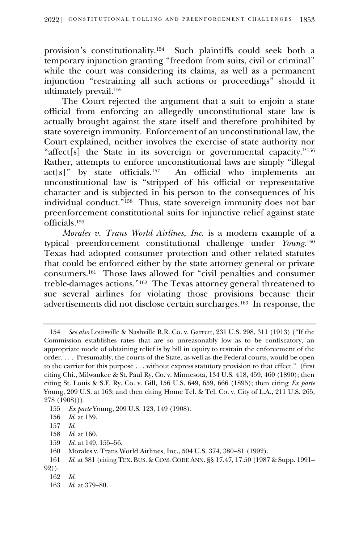provision's constitutionality.<sup>154</sup> Such plaintiffs could seek both a temporary injunction granting "freedom from suits, civil or criminal" while the court was considering its claims, as well as a permanent injunction "restraining all such actions or proceedings" should it ultimately prevail.<sup>155</sup>

The Court rejected the argument that a suit to enjoin a state official from enforcing an allegedly unconstitutional state law is actually brought against the state itself and therefore prohibited by state sovereign immunity. Enforcement of an unconstitutional law, the Court explained, neither involves the exercise of state authority nor "affect[s] the State in its sovereign or governmental capacity."<sup>156</sup> Rather, attempts to enforce unconstitutional laws are simply "illegal  $act[s]$ " by state officials.<sup>157</sup> An official who implements an unconstitutional law is "stripped of his official or representative character and is subjected in his person to the consequences of his individual conduct."<sup>158</sup> Thus, state sovereign immunity does not bar preenforcement constitutional suits for injunctive relief against state officials.<sup>159</sup>

*Morales v. Trans World Airlines, Inc.* is a modern example of a typical preenforcement constitutional challenge under *Young*. 160 Texas had adopted consumer protection and other related statutes that could be enforced either by the state attorney general or private consumers.<sup>161</sup> Those laws allowed for "civil penalties and consumer treble-damages actions."<sup>162</sup> The Texas attorney general threatened to sue several airlines for violating those provisions because their advertisements did not disclose certain surcharges.<sup>163</sup> In response, the

<sup>154</sup> *See also* Louisville & Nashville R.R. Co. v. Garrett, 231 U.S. 298, 311 (1913) ("If the Commission establishes rates that are so unreasonably low as to be confiscatory, an appropriate mode of obtaining relief is by bill in equity to restrain the enforcement of the order. . . . Presumably, the courts of the State, as well as the Federal courts, would be open to the carrier for this purpose . . . without express statutory provision to that effect." (first citing Chi., Milwaukee & St. Paul Ry. Co. v. Minnesota, 134 U.S. 418, 459, 460 (1890); then citing St. Louis & S.F. Ry. Co. v. Gill, 156 U.S. 649, 659, 666 (1895); then citing *Ex parte* Young, 209 U.S. at 163; and then citing Home Tel. & Tel. Co. v. City of L.A., 211 U.S. 265, 278 (1908))).

<sup>155</sup> *Ex parte* Young, 209 U.S. 123, 149 (1908).

<sup>156</sup> *Id*. at 159.

<sup>157</sup> *Id*.

<sup>158</sup> *Id*. at 160.

<sup>159</sup> *Id.* at 149, 155–56.

<sup>160</sup> Morales v. Trans World Airlines, Inc., 504 U.S. 374, 380–81 (1992).

<sup>161</sup> *Id*. at 381 (citing TEX. BUS. & COM. CODE ANN. §§ 17.47, 17.50 (1987 & Supp. 1991– 92)).

<sup>162</sup> *Id*.

<sup>163</sup> *Id*. at 379–80.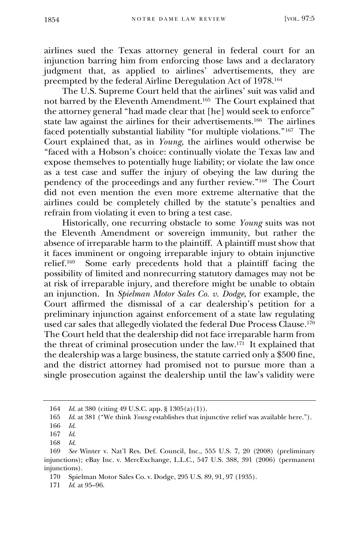airlines sued the Texas attorney general in federal court for an injunction barring him from enforcing those laws and a declaratory judgment that, as applied to airlines' advertisements, they are preempted by the federal Airline Deregulation Act of 1978.<sup>164</sup>

The U.S. Supreme Court held that the airlines' suit was valid and not barred by the Eleventh Amendment.<sup>165</sup> The Court explained that the attorney general "had made clear that [he] would seek to enforce" state law against the airlines for their advertisements.<sup>166</sup> The airlines faced potentially substantial liability "for multiple violations."<sup>167</sup> The Court explained that, as in *Young*, the airlines would otherwise be "faced with a Hobson's choice: continually violate the Texas law and expose themselves to potentially huge liability; or violate the law once as a test case and suffer the injury of obeying the law during the pendency of the proceedings and any further review."<sup>168</sup> The Court did not even mention the even more extreme alternative that the airlines could be completely chilled by the statute's penalties and refrain from violating it even to bring a test case.

Historically, one recurring obstacle to some *Young* suits was not the Eleventh Amendment or sovereign immunity, but rather the absence of irreparable harm to the plaintiff. A plaintiff must show that it faces imminent or ongoing irreparable injury to obtain injunctive relief.<sup>169</sup> Some early precedents hold that a plaintiff facing the possibility of limited and nonrecurring statutory damages may not be at risk of irreparable injury, and therefore might be unable to obtain an injunction. In *Spielman Motor Sales Co. v. Dodge*, for example, the Court affirmed the dismissal of a car dealership's petition for a preliminary injunction against enforcement of a state law regulating used car sales that allegedly violated the federal Due Process Clause.<sup>170</sup> The Court held that the dealership did not face irreparable harm from the threat of criminal prosecution under the law.<sup>171</sup> It explained that the dealership was a large business, the statute carried only a \$500 fine, and the district attorney had promised not to pursue more than a single prosecution against the dealership until the law's validity were

<sup>164</sup> *Id*. at 380 (citing 49 U.S.C. app. § 1305(a)(1)).

<sup>165</sup> *Id*. at 381 ("We think *Young* establishes that injunctive relief was available here.").

<sup>166</sup> *Id*.

<sup>167</sup> *Id*.

<sup>168</sup> *Id*.

<sup>169</sup> *See* Winter v. Nat'l Res. Def. Council, Inc., 555 U.S. 7, 20 (2008) (preliminary injunctions); eBay Inc. v. MercExchange, L.L.C., 547 U.S. 388, 391 (2006) (permanent injunctions).

<sup>170</sup> Spielman Motor Sales Co. v. Dodge, 295 U.S. 89, 91, 97 (1935).

<sup>171</sup> *Id*. at 95–96.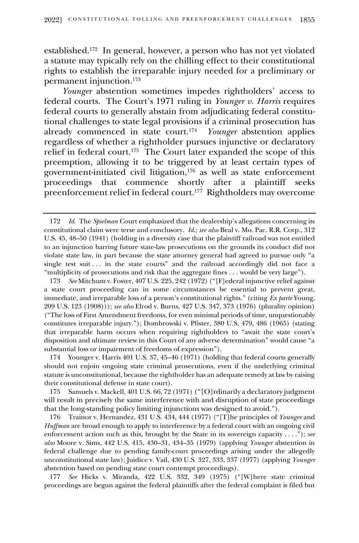established.<sup>172</sup> In general, however, a person who has not yet violated a statute may typically rely on the chilling effect to their constitutional rights to establish the irreparable injury needed for a preliminary or permanent injunction.<sup>173</sup>

*Younger* abstention sometimes impedes rightholders' access to federal courts. The Court's 1971 ruling in *Younger v. Harris* requires federal courts to generally abstain from adjudicating federal constitutional challenges to state legal provisions if a criminal prosecution has already commenced in state court. 174 *Younger* abstention applies regardless of whether a rightholder pursues injunctive or declaratory relief in federal court. <sup>175</sup> The Court later expanded the scope of this preemption, allowing it to be triggered by at least certain types of government-initiated civil litigation, <sup>176</sup> as well as state enforcement proceedings that commence shortly after a plaintiff seeks preenforcement relief in federal court.<sup>177</sup> Rightholders may overcome

177 *See* Hicks v. Miranda, 422 U.S. 332, 349 (1975) ("[W]here state criminal proceedings are begun against the federal plaintiffs after the federal complaint is filed but

<sup>172</sup> *Id*. The *Spielman* Court emphasized that the dealership's allegations concerning its constitutional claim were terse and conclusory. *Id*.; *see also* Beal v. Mo. Pac. R.R. Corp., 312 U.S. 45, 48–50 (1941) (holding in a diversity case that the plaintiff railroad was not entitled to an injunction barring future state-law prosecutions on the grounds its conduct did not violate state law, in part because the state attorney general had agreed to pursue only "a single test suit . . . in the state courts" and the railroad accordingly did not face a "multiplicity of prosecutions and risk that the aggregate fines . . . would be very large").

<sup>173</sup> *See* Mitchum v. Foster, 407 U.S. 225, 242 (1972) ("[F]ederal injunctive relief against a state court proceeding can in some circumstances be essential to prevent great, immediate, and irreparable loss of a person's constitutional rights." (citing *Ex parte* Young, 209 U.S. 123 (1908))); *see also* Elrod v. Burns, 427 U.S. 347, 373 (1976) (plurality opinion) ("The loss of First Amendment freedoms, for even minimal periods of time, unquestionably constitutes irreparable injury."); Dombrowski v. Pfister, 380 U.S. 479, 486 (1965) (stating that irreparable harm occurs when requiring rightholders to "await the state court's disposition and ultimate review in this Court of any adverse determination" would cause "a substantial loss or impairment of freedoms of expression").

<sup>174</sup> Younger v. Harris 401 U.S. 37, 45–46 (1971) (holding that federal courts generally should not enjoin ongoing state criminal prosecutions, even if the underlying criminal statute is unconstitutional, because the rightholder has an adequate remedy at law by raising their constitutional defense in state court).

<sup>175</sup> Samuels v. Mackell, 401 U.S. 66, 72 (1971) ("[O]rdinarily a declaratory judgment will result in precisely the same interference with and disruption of state proceedings that the long-standing policy limiting injunctions was designed to avoid.").

<sup>176</sup> Trainor v. Hernandez, 431 U.S. 434, 444 (1977) ("[T]he principles of *Younger* and *Huffman* are broad enough to apply to interference by a federal court with an ongoing civil enforcement action such as this, brought by the State in its sovereign capacity . . . ."); *see also* Moore v. Sims, 442 U.S. 415, 430–31, 434–35 (1979) (applying *Younger* abstention in federal challenge due to pending family-court proceedings arising under the allegedly unconstitutional state law); Juidice v. Vail, 430 U.S. 327, 333, 337 (1977) (applying *Younger*  abstention based on pending state court contempt proceedings).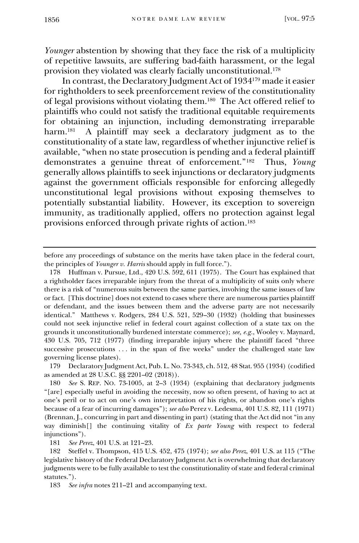*Younger* abstention by showing that they face the risk of a multiplicity of repetitive lawsuits, are suffering bad-faith harassment, or the legal provision they violated was clearly facially unconstitutional.<sup>178</sup>

In contrast, the Declaratory Judgment Act of 1934 <sup>179</sup> made it easier for rightholders to seek preenforcement review of the constitutionality of legal provisions without violating them.<sup>180</sup> The Act offered relief to plaintiffs who could not satisfy the traditional equitable requirements for obtaining an injunction, including demonstrating irreparable harm.<sup>181</sup> A plaintiff may seek a declaratory judgment as to the constitutionality of a state law, regardless of whether injunctive relief is available, "when no state prosecution is pending and a federal plaintiff demonstrates a genuine threat of enforcement."<sup>182</sup> Thus, *Young* generally allows plaintiffs to seek injunctions or declaratory judgments against the government officials responsible for enforcing allegedly unconstitutional legal provisions without exposing themselves to potentially substantial liability. However, its exception to sovereign immunity, as traditionally applied, offers no protection against legal provisions enforced through private rights of action.<sup>183</sup>

179 Declaratory Judgment Act, Pub. L. No. 73-343, ch. 512, 48 Stat. 955 (1934) (codified as amended at 28 U.S.C. §§ 2201–02 (2018)).

180 *See* S. REP. NO. 73-1005, at 2–3 (1934) (explaining that declaratory judgments "[are] especially useful in avoiding the necessity, now so often present, of having to act at one's peril or to act on one's own interpretation of his rights, or abandon one's rights because of a fear of incurring damages"); *see also* Perez v. Ledesma, 401 U.S. 82, 111 (1971) (Brennan, J., concurring in part and dissenting in part) (stating that the Act did not "in any way diminish[] the continuing vitality of *Ex parte Young* with respect to federal injunctions").

181 *See Perez*, 401 U.S. at 121–23.

182 Steffel v. Thompson, 415 U.S. 452, 475 (1974); *see also Perez*, 401 U.S. at 115 ("The legislative history of the Federal Declaratory Judgment Act is overwhelming that declaratory judgments were to be fully available to test the constitutionality of state and federal criminal statutes.").

183 *See infra* notes 211–21 and accompanying text.

before any proceedings of substance on the merits have taken place in the federal court, the principles of *Younger v. Harris* should apply in full force.").

<sup>178</sup> Huffman v. Pursue, Ltd., 420 U.S. 592, 611 (1975). The Court has explained that a rightholder faces irreparable injury from the threat of a multiplicity of suits only where there is a risk of "numerous suits between the same parties, involving the same issues of law or fact. [This doctrine] does not extend to cases where there are numerous parties plaintiff or defendant, and the issues between them and the adverse party are not necessarily identical." Matthews v. Rodgers, 284 U.S. 521, 529–30 (1932) (holding that businesses could not seek injunctive relief in federal court against collection of a state tax on the grounds it unconstitutionally burdened interstate commerce); *see, e.g.*, Wooley v. Maynard, 430 U.S. 705, 712 (1977) (finding irreparable injury where the plaintiff faced "three successive prosecutions . . . in the span of five weeks" under the challenged state law governing license plates).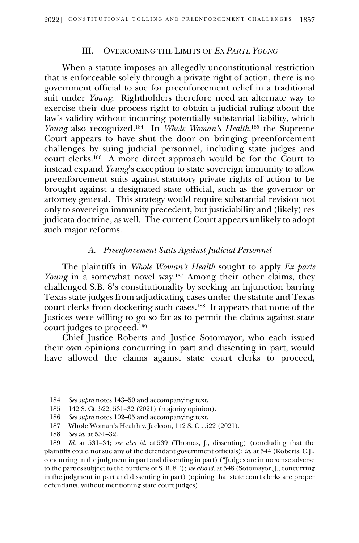## III. OVERCOMING THE LIMITS OF *EX PARTE YOUNG*

When a statute imposes an allegedly unconstitutional restriction that is enforceable solely through a private right of action, there is no government official to sue for preenforcement relief in a traditional suit under *Young*. Rightholders therefore need an alternate way to exercise their due process right to obtain a judicial ruling about the law's validity without incurring potentially substantial liability, which *Young* also recognized. 184 In *Whole Woman's Health*, <sup>185</sup> the Supreme Court appears to have shut the door on bringing preenforcement challenges by suing judicial personnel, including state judges and court clerks.<sup>186</sup> A more direct approach would be for the Court to instead expand *Young*'s exception to state sovereign immunity to allow preenforcement suits against statutory private rights of action to be brought against a designated state official, such as the governor or attorney general. This strategy would require substantial revision not only to sovereign immunity precedent, but justiciability and (likely) res judicata doctrine, as well. The current Court appears unlikely to adopt such major reforms.

## *A. Preenforcement Suits Against Judicial Personnel*

The plaintiffs in *Whole Woman's Health* sought to apply *Ex parte Young* in a somewhat novel way. <sup>187</sup> Among their other claims, they challenged S.B. 8's constitutionality by seeking an injunction barring Texas state judges from adjudicating cases under the statute and Texas court clerks from docketing such cases.<sup>188</sup> It appears that none of the Justices were willing to go so far as to permit the claims against state court judges to proceed. 189

Chief Justice Roberts and Justice Sotomayor, who each issued their own opinions concurring in part and dissenting in part, would have allowed the claims against state court clerks to proceed,

<sup>184</sup> *See supra* notes 143–50 and accompanying text.

<sup>185</sup> 142 S. Ct. 522, 531–32 (2021) (majority opinion).

<sup>186</sup> *See supra* notes 102–05 and accompanying text.

<sup>187</sup> Whole Woman's Health v. Jackson, 142 S. Ct. 522 (2021).

<sup>188</sup> *See id*. at 531–32.

<sup>189</sup> *Id.* at 531–34; *see also id*. at 539 (Thomas, J., dissenting) (concluding that the plaintiffs could not sue any of the defendant government officials); *id*. at 544 (Roberts, C.J., concurring in the judgment in part and dissenting in part) ("Judges are in no sense adverse to the parties subject to the burdens of S. B. 8."); *see also id*. at 548 (Sotomayor, J., concurring in the judgment in part and dissenting in part) (opining that state court clerks are proper defendants, without mentioning state court judges).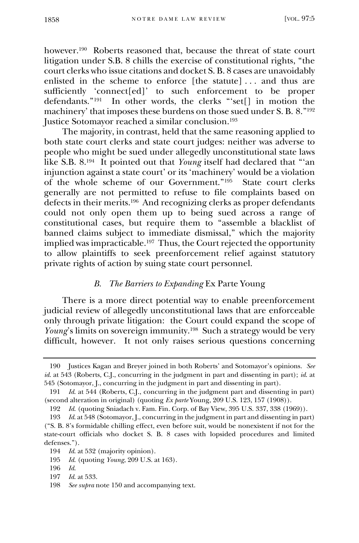however.<sup>190</sup> Roberts reasoned that, because the threat of state court litigation under S.B. 8 chills the exercise of constitutional rights, "the court clerks who issue citations and docket S. B. 8 cases are unavoidably enlisted in the scheme to enforce [the statute] . . . and thus are sufficiently 'connect[ed]' to such enforcement to be proper defendants."<sup>191</sup> In other words, the clerks "'set[] in motion the machinery' that imposes these burdens on those sued under S. B. 8."<sup>192</sup> Justice Sotomayor reached a similar conclusion.<sup>193</sup>

The majority, in contrast, held that the same reasoning applied to both state court clerks and state court judges: neither was adverse to people who might be sued under allegedly unconstitutional state laws like S.B. 8. 194 It pointed out that *Young* itself had declared that "'an injunction against a state court' or its 'machinery' would be a violation of the whole scheme of our Government."<sup>195</sup> State court clerks generally are not permitted to refuse to file complaints based on defects in their merits.<sup>196</sup> And recognizing clerks as proper defendants could not only open them up to being sued across a range of constitutional cases, but require them to "assemble a blacklist of banned claims subject to immediate dismissal," which the majority implied was impracticable.<sup>197</sup> Thus, the Court rejected the opportunity to allow plaintiffs to seek preenforcement relief against statutory private rights of action by suing state court personnel.

#### *B. The Barriers to Expanding* Ex Parte Young

There is a more direct potential way to enable preenforcement judicial review of allegedly unconstitutional laws that are enforceable only through private litigation: the Court could expand the scope of *Young*'s limits on sovereign immunity.<sup>198</sup> Such a strategy would be very difficult, however. It not only raises serious questions concerning

<sup>190</sup> Justices Kagan and Breyer joined in both Roberts' and Sotomayor's opinions. *See id*. at 543 (Roberts, C.J., concurring in the judgment in part and dissenting in part); *id*. at 545 (Sotomayor, J., concurring in the judgment in part and dissenting in part).

<sup>191</sup> *Id*. at 544 (Roberts, C.J., concurring in the judgment part and dissenting in part) (second alteration in original) (quoting *Ex parte* Young, 209 U.S. 123, 157 (1908)).

<sup>192</sup> *Id*. (quoting Sniadach v. Fam. Fin. Corp. of Bay View, 395 U.S. 337, 338 (1969)).

<sup>193</sup> *Id*. at 548 (Sotomayor, J., concurring in the judgment in part and dissenting in part) ("S. B. 8's formidable chilling effect, even before suit, would be nonexistent if not for the state-court officials who docket S. B. 8 cases with lopsided procedures and limited defenses.").

<sup>194</sup> *Id*. at 532 (majority opinion).

<sup>195</sup> *Id*. (quoting *Young*, 209 U.S. at 163).

<sup>196</sup> *Id*.

<sup>197</sup> *Id*. at 533.

<sup>198</sup> *See supra* note 150 and accompanying text.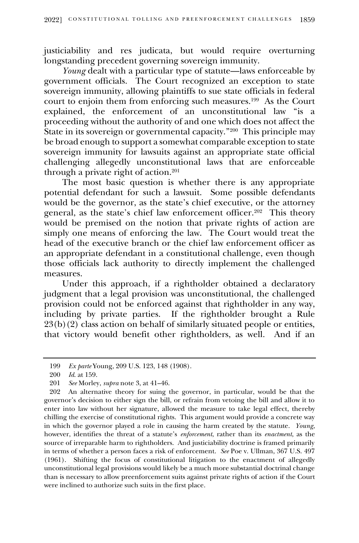justiciability and res judicata, but would require overturning longstanding precedent governing sovereign immunity.

*Young* dealt with a particular type of statute—laws enforceable by government officials. The Court recognized an exception to state sovereign immunity, allowing plaintiffs to sue state officials in federal court to enjoin them from enforcing such measures.<sup>199</sup> As the Court explained, the enforcement of an unconstitutional law "is a proceeding without the authority of and one which does not affect the State in its sovereign or governmental capacity."<sup>200</sup> This principle may be broad enough to support a somewhat comparable exception to state sovereign immunity for lawsuits against an appropriate state official challenging allegedly unconstitutional laws that are enforceable through a private right of action.<sup>201</sup>

The most basic question is whether there is any appropriate potential defendant for such a lawsuit. Some possible defendants would be the governor, as the state's chief executive, or the attorney general, as the state's chief law enforcement officer.<sup>202</sup> This theory would be premised on the notion that private rights of action are simply one means of enforcing the law. The Court would treat the head of the executive branch or the chief law enforcement officer as an appropriate defendant in a constitutional challenge, even though those officials lack authority to directly implement the challenged measures.

Under this approach, if a rightholder obtained a declaratory judgment that a legal provision was unconstitutional, the challenged provision could not be enforced against that rightholder in any way, including by private parties. If the rightholder brought a Rule  $23(b)(2)$  class action on behalf of similarly situated people or entities, that victory would benefit other rightholders, as well. And if an

<sup>199</sup> *Ex parte* Young, 209 U.S. 123, 148 (1908).

<sup>200</sup> *Id*. at 159.

<sup>201</sup> *See* Morley, *supra* note 3, at 41–46.

<sup>202</sup> An alternative theory for suing the governor, in particular, would be that the governor's decision to either sign the bill, or refrain from vetoing the bill and allow it to enter into law without her signature, allowed the measure to take legal effect, thereby chilling the exercise of constitutional rights. This argument would provide a concrete way in which the governor played a role in causing the harm created by the statute. *Young*, however, identifies the threat of a statute's *enforcement*, rather than its *enactment*, as the source of irreparable harm to rightholders. And justiciability doctrine is framed primarily in terms of whether a person faces a risk of enforcement. *See* Poe v. Ullman, 367 U.S. 497 (1961). Shifting the focus of constitutional litigation to the enactment of allegedly unconstitutional legal provisions would likely be a much more substantial doctrinal change than is necessary to allow preenforcement suits against private rights of action if the Court were inclined to authorize such suits in the first place.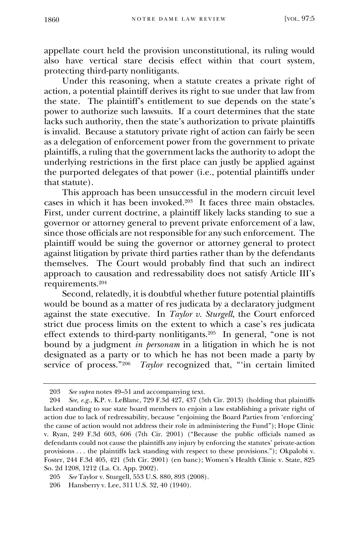appellate court held the provision unconstitutional, its ruling would also have vertical stare decisis effect within that court system, protecting third-party nonlitigants.

Under this reasoning, when a statute creates a private right of action, a potential plaintiff derives its right to sue under that law from the state. The plaintiff's entitlement to sue depends on the state's power to authorize such lawsuits. If a court determines that the state lacks such authority, then the state's authorization to private plaintiffs is invalid. Because a statutory private right of action can fairly be seen as a delegation of enforcement power from the government to private plaintiffs, a ruling that the government lacks the authority to adopt the underlying restrictions in the first place can justly be applied against the purported delegates of that power (i.e., potential plaintiffs under that statute).

This approach has been unsuccessful in the modern circuit level cases in which it has been invoked.<sup>203</sup> It faces three main obstacles. First, under current doctrine, a plaintiff likely lacks standing to sue a governor or attorney general to prevent private enforcement of a law, since those officials are not responsible for any such enforcement. The plaintiff would be suing the governor or attorney general to protect against litigation by private third parties rather than by the defendants themselves. The Court would probably find that such an indirect approach to causation and redressability does not satisfy Article III's requirements.<sup>204</sup>

Second, relatedly, it is doubtful whether future potential plaintiffs would be bound as a matter of res judicata by a declaratory judgment against the state executive. In *Taylor v. Sturgell*, the Court enforced strict due process limits on the extent to which a case's res judicata effect extends to third-party nonlitigants.<sup>205</sup> In general, "one is not bound by a judgment *in personam* in a litigation in which he is not designated as a party or to which he has not been made a party by service of process."<sup>206</sup> *Taylor* recognized that, "'in certain limited

<sup>203</sup> *See supra* notes 49–51 and accompanying text.

<sup>204</sup> *See, e.g.*, K.P. v. LeBlanc, 729 F.3d 427, 437 (5th Cir. 2013) (holding that plaintiffs lacked standing to sue state board members to enjoin a law establishing a private right of action due to lack of redressability, because "enjoining the Board Parties from 'enforcing' the cause of action would not address their role in administering the Fund"); Hope Clinic v. Ryan, 249 F.3d 603, 606 (7th Cir. 2001) ("Because the public officials named as defendants could not cause the plaintiffs any injury by enforcing the statutes' private-action provisions . . . the plaintiffs lack standing with respect to these provisions."); Okpalobi v. Foster, 244 F.3d 405, 421 (5th Cir. 2001) (en banc); Women's Health Clinic v. State, 825 So. 2d 1208, 1212 (La. Ct. App. 2002).

<sup>205</sup> *See* Taylor v. Sturgell, 553 U.S. 880, 893 (2008).

<sup>206</sup> Hansberry v. Lee, 311 U.S. 32, 40 (1940).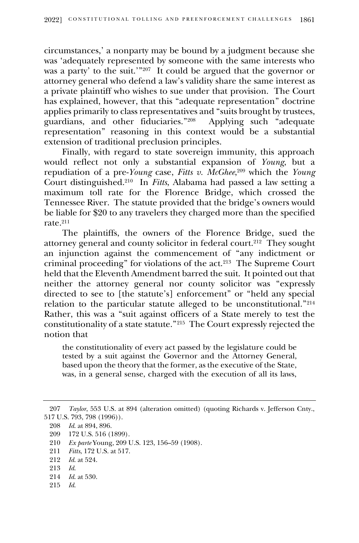circumstances,' a nonparty may be bound by a judgment because she was 'adequately represented by someone with the same interests who was a party' to the suit.'"<sup>207</sup> It could be argued that the governor or attorney general who defend a law's validity share the same interest as a private plaintiff who wishes to sue under that provision. The Court has explained, however, that this "adequate representation" doctrine applies primarily to class representatives and "suits brought by trustees, guardians, and other fiduciaries."<sup>208</sup> Applying such "adequate representation" reasoning in this context would be a substantial extension of traditional preclusion principles.

Finally, with regard to state sovereign immunity, this approach would reflect not only a substantial expansion of *Young*, but a repudiation of a pre-*Young* case, *Fitts v. McGhee*, <sup>209</sup> which the *Young*  Court distinguished.<sup>210</sup> In *Fitts*, Alabama had passed a law setting a maximum toll rate for the Florence Bridge, which crossed the Tennessee River. The statute provided that the bridge's owners would be liable for \$20 to any travelers they charged more than the specified rate.<sup>211</sup>

The plaintiffs, the owners of the Florence Bridge, sued the attorney general and county solicitor in federal court. 212 They sought an injunction against the commencement of "any indictment or criminal proceeding" for violations of the act.<sup>213</sup> The Supreme Court held that the Eleventh Amendment barred the suit. It pointed out that neither the attorney general nor county solicitor was "expressly directed to see to [the statute's] enforcement" or "held any special relation to the particular statute alleged to be unconstitutional."<sup>214</sup> Rather, this was a "suit against officers of a State merely to test the constitutionality of a state statute."<sup>215</sup> The Court expressly rejected the notion that

the constitutionality of every act passed by the legislature could be tested by a suit against the Governor and the Attorney General, based upon the theory that the former, as the executive of the State, was, in a general sense, charged with the execution of all its laws,

- 214 *Id*. at 530.
- 215 *Id*.

<sup>207</sup> *Taylor*, 553 U.S. at 894 (alteration omitted) (quoting Richards v. Jefferson Cnty., 517 U.S. 793, 798 (1996)).

<sup>208</sup> *Id*. at 894, 896.

<sup>209</sup> 172 U.S. 516 (1899).

<sup>210</sup> *Ex parte* Young, 209 U.S. 123, 156–59 (1908).

<sup>211</sup> *Fitts*, 172 U.S. at 517.

<sup>212</sup> *Id*. at 524.

<sup>213</sup> *Id*.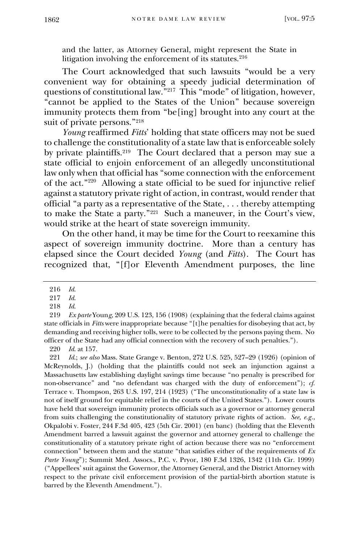and the latter, as Attorney General, might represent the State in litigation involving the enforcement of its statutes.<sup>216</sup>

The Court acknowledged that such lawsuits "would be a very convenient way for obtaining a speedy judicial determination of questions of constitutional law." <sup>217</sup> This "mode" of litigation, however, "cannot be applied to the States of the Union" because sovereign immunity protects them from "be[ing] brought into any court at the suit of private persons." 218

*Young* reaffirmed *Fitts*' holding that state officers may not be sued to challenge the constitutionality of a state law that is enforceable solely by private plaintiffs.<sup>219</sup> The Court declared that a person may sue a state official to enjoin enforcement of an allegedly unconstitutional law only when that official has "some connection with the enforcement of the act."<sup>220</sup> Allowing a state official to be sued for injunctive relief against a statutory private right of action, in contrast, would render that official "a party as a representative of the State, . . . thereby attempting to make the State a party."<sup>221</sup> Such a maneuver, in the Court's view, would strike at the heart of state sovereign immunity.

On the other hand, it may be time for the Court to reexamine this aspect of sovereign immunity doctrine. More than a century has elapsed since the Court decided *Young* (and *Fitts*). The Court has recognized that, "[f]or Eleventh Amendment purposes, the line

220 *Id*. at 157.

221 *Id*.; *see also* Mass. State Grange v. Benton, 272 U.S. 525, 527–29 (1926) (opinion of McReynolds, J.) (holding that the plaintiffs could not seek an injunction against a Massachusetts law establishing daylight savings time because "no penalty is prescribed for non-observance" and "no defendant was charged with the duty of enforcement"); *cf*. Terrace v. Thompson, 263 U.S. 197, 214 (1923) ("The unconstitutionality of a state law is not of itself ground for equitable relief in the courts of the United States."). Lower courts have held that sovereign immunity protects officials such as a governor or attorney general from suits challenging the constitutionality of statutory private rights of action. *See, e.g.*, Okpalobi v. Foster, 244 F.3d 405, 423 (5th Cir. 2001) (en banc) (holding that the Eleventh Amendment barred a lawsuit against the governor and attorney general to challenge the constitutionality of a statutory private right of action because there was no "enforcement connection" between them and the statute "that satisfies either of the requirements of *Ex Parte Young*"); Summit Med. Assocs., P.C. v. Pryor, 180 F.3d 1326, 1342 (11th Cir. 1999) ("Appellees' suit against the Governor, the Attorney General, and the District Attorney with respect to the private civil enforcement provision of the partial-birth abortion statute is barred by the Eleventh Amendment.").

<sup>216</sup> *Id*.

<sup>217</sup> *Id*.

<sup>218</sup> *Id*.

<sup>219</sup> *Ex parte* Youn*g*, 209 U.S. 123, 156 (1908) (explaining that the federal claims against state officials in *Fitts* were inappropriate because "[t]he penalties for disobeying that act, by demanding and receiving higher tolls, were to be collected by the persons paying them. No officer of the State had any official connection with the recovery of such penalties.").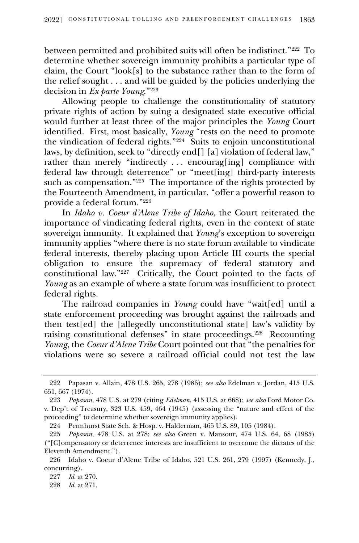between permitted and prohibited suits will often be indistinct."<sup>222</sup> To determine whether sovereign immunity prohibits a particular type of claim, the Court "look[s] to the substance rather than to the form of the relief sought . . . and will be guided by the policies underlying the decision in *Ex parte Young*."<sup>223</sup>

Allowing people to challenge the constitutionality of statutory private rights of action by suing a designated state executive official would further at least three of the major principles the *Young* Court identified. First, most basically, *Young* "rests on the need to promote the vindication of federal rights."<sup>224</sup> Suits to enjoin unconstitutional laws, by definition, seek to "directly end[] [a] violation of federal law," rather than merely "indirectly . . . encourag[ing] compliance with federal law through deterrence" or "meet[ing] third-party interests such as compensation."<sup>225</sup> The importance of the rights protected by the Fourteenth Amendment, in particular, "offer a powerful reason to provide a federal forum."<sup>226</sup>

In *Idaho v. Coeur d'Alene Tribe of Idaho*, the Court reiterated the importance of vindicating federal rights, even in the context of state sovereign immunity. It explained that *Young*'s exception to sovereign immunity applies "where there is no state forum available to vindicate federal interests, thereby placing upon Article III courts the special obligation to ensure the supremacy of federal statutory and constitutional law."<sup>227</sup> Critically, the Court pointed to the facts of *Young* as an example of where a state forum was insufficient to protect federal rights.

The railroad companies in *Young* could have "wait[ed] until a state enforcement proceeding was brought against the railroads and then test[ed] the [allegedly unconstitutional state] law's validity by raising constitutional defenses" in state proceedings.<sup>228</sup> Recounting *Young*, the *Coeur d'Alene Tribe* Court pointed out that "the penalties for violations were so severe a railroad official could not test the law

224 Pennhurst State Sch. & Hosp. v. Halderman, 465 U.S. 89, 105 (1984).

<sup>222</sup> Papasan v. Allain, 478 U.S. 265, 278 (1986); *see also* Edelman v. Jordan, 415 U.S. 651, 667 (1974).

<sup>223</sup> *Papasan*, 478 U.S. at 279 (citing *Edelman*, 415 U.S. at 668); *see also* Ford Motor Co. v. Dep't of Treasury, 323 U.S. 459, 464 (1945) (assessing the "nature and effect of the proceeding" to determine whether sovereign immunity applies).

<sup>225</sup> *Papasan*, 478 U.S. at 278; *see also* Green v. Mansour, 474 U.S. 64, 68 (1985) ("[C]ompensatory or deterrence interests are insufficient to overcome the dictates of the Eleventh Amendment.").

<sup>226</sup> Idaho v. Coeur d'Alene Tribe of Idaho, 521 U.S. 261, 279 (1997) (Kennedy, J., concurring).

<sup>227</sup> *Id*. at 270.

<sup>228</sup> *Id*. at 271.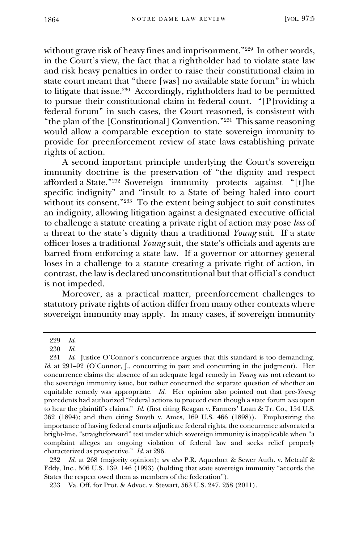without grave risk of heavy fines and imprisonment."<sup>229</sup> In other words, in the Court's view, the fact that a rightholder had to violate state law and risk heavy penalties in order to raise their constitutional claim in state court meant that "there [was] no available state forum" in which to litigate that issue. 230 Accordingly, rightholders had to be permitted to pursue their constitutional claim in federal court. "[P]roviding a federal forum" in such cases, the Court reasoned, is consistent with "the plan of the [Constitutional] Convention."<sup>231</sup> This same reasoning would allow a comparable exception to state sovereign immunity to provide for preenforcement review of state laws establishing private rights of action.

A second important principle underlying the Court's sovereign immunity doctrine is the preservation of "the dignity and respect afforded a State."<sup>232</sup> Sovereign immunity protects against "[t]he specific indignity" and "insult to a State of being haled into court without its consent."<sup>233</sup> To the extent being subject to suit constitutes an indignity, allowing litigation against a designated executive official to challenge a statute creating a private right of action may pose *less* of a threat to the state's dignity than a traditional *Young* suit. If a state officer loses a traditional *Young* suit, the state's officials and agents are barred from enforcing a state law. If a governor or attorney general loses in a challenge to a statute creating a private right of action, in contrast, the law is declared unconstitutional but that official's conduct is not impeded.

Moreover, as a practical matter, preenforcement challenges to statutory private rights of action differ from many other contexts where sovereign immunity may apply. In many cases, if sovereign immunity

<sup>229</sup> *Id*.

<sup>230</sup> *Id*.

<sup>231</sup> *Id*. Justice O'Connor's concurrence argues that this standard is too demanding. *Id.* at 291–92 (O'Connor, J., concurring in part and concurring in the judgment). Her concurrence claims the absence of an adequate legal remedy in *Young* was not relevant to the sovereign immunity issue, but rather concerned the separate question of whether an equitable remedy was appropriate. *Id*. Her opinion also pointed out that pre-*Young* precedents had authorized "federal actions to proceed even though a state forum *was* open to hear the plaintiff's claims." *Id*. (first citing Reagan v. Farmers' Loan & Tr. Co., 154 U.S. 362 (1894); and then citing Smyth v. Ames, 169 U.S. 466 (1898)). Emphasizing the importance of having federal courts adjudicate federal rights, the concurrence advocated a bright-line, "straightforward" test under which sovereign immunity is inapplicable when "a complaint alleges an ongoing violation of federal law and seeks relief properly characterized as prospective." *Id*. at 296.

<sup>232</sup> *Id.* at 268 (majority opinion); *see also* P.R. Aqueduct & Sewer Auth. v. Metcalf & Eddy, Inc., 506 U.S. 139, 146 (1993) (holding that state sovereign immunity "accords the States the respect owed them as members of the federation").

<sup>233</sup> Va. Off. for Prot. & Advoc. v. Stewart, 563 U.S. 247, 258 (2011).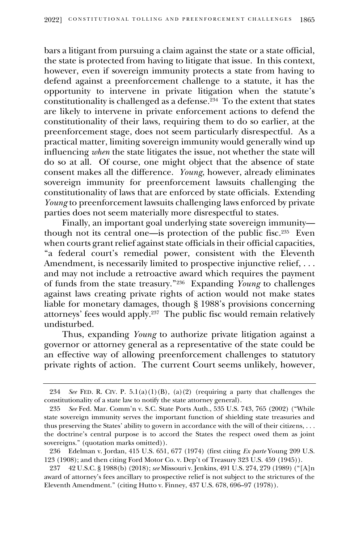bars a litigant from pursuing a claim against the state or a state official, the state is protected from having to litigate that issue. In this context, however, even if sovereign immunity protects a state from having to defend against a preenforcement challenge to a statute, it has the opportunity to intervene in private litigation when the statute's constitutionality is challenged as a defense.<sup>234</sup> To the extent that states are likely to intervene in private enforcement actions to defend the constitutionality of their laws, requiring them to do so earlier, at the preenforcement stage, does not seem particularly disrespectful. As a practical matter, limiting sovereign immunity would generally wind up influencing *when* the state litigates the issue, not whether the state will do so at all. Of course, one might object that the absence of state consent makes all the difference. *Young*, however, already eliminates sovereign immunity for preenforcement lawsuits challenging the constitutionality of laws that are enforced by state officials. Extending *Young* to preenforcement lawsuits challenging laws enforced by private parties does not seem materially more disrespectful to states.

Finally, an important goal underlying state sovereign immunity though not its central one—is protection of the public fisc.<sup>235</sup> Even when courts grant relief against state officials in their official capacities, "a federal court's remedial power, consistent with the Eleventh Amendment, is necessarily limited to prospective injunctive relief, ... and may not include a retroactive award which requires the payment of funds from the state treasury."<sup>236</sup> Expanding *Young* to challenges against laws creating private rights of action would not make states liable for monetary damages, though § 1988's provisions concerning attorneys' fees would apply. 237 The public fisc would remain relatively undisturbed.

Thus, expanding *Young* to authorize private litigation against a governor or attorney general as a representative of the state could be an effective way of allowing preenforcement challenges to statutory private rights of action. The current Court seems unlikely, however,

<sup>234</sup> *See* FED. R. CIV. P.  $5.1(a)(1)(B)$ ,  $(a)(2)$  (requiring a party that challenges the constitutionality of a state law to notify the state attorney general).

<sup>235</sup> *See* Fed. Mar. Comm'n v. S.C. State Ports Auth., 535 U.S. 743, 765 (2002) ("While state sovereign immunity serves the important function of shielding state treasuries and thus preserving the States' ability to govern in accordance with the will of their citizens, . . . the doctrine's central purpose is to accord the States the respect owed them as joint sovereigns." (quotation marks omitted)).

<sup>236</sup> Edelman v. Jordan, 415 U.S. 651, 677 (1974) (first citing *Ex parte* Young 209 U.S. 123 (1908); and then citing Ford Motor Co. v. Dep't of Treasury 323 U.S. 459 (1945)).

<sup>237</sup> 42 U.S.C. § 1988(b) (2018); *see* Missouri v. Jenkins, 491 U.S. 274, 279 (1989) ("[A]n award of attorney's fees ancillary to prospective relief is not subject to the strictures of the Eleventh Amendment." (citing Hutto v. Finney, 437 U.S. 678, 696–97 (1978)).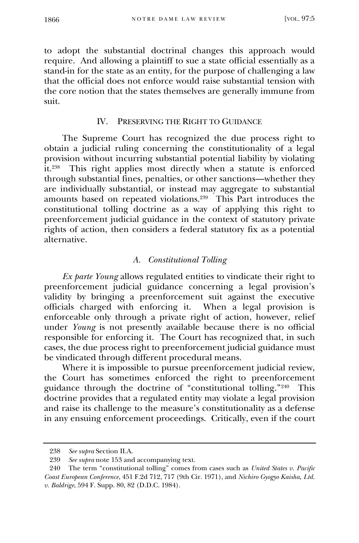to adopt the substantial doctrinal changes this approach would require. And allowing a plaintiff to sue a state official essentially as a stand-in for the state as an entity, for the purpose of challenging a law that the official does not enforce would raise substantial tension with the core notion that the states themselves are generally immune from suit.

# IV. PRESERVING THE RIGHT TO GUIDANCE

The Supreme Court has recognized the due process right to obtain a judicial ruling concerning the constitutionality of a legal provision without incurring substantial potential liability by violating it. 238 This right applies most directly when a statute is enforced through substantial fines, penalties, or other sanctions—whether they are individually substantial, or instead may aggregate to substantial amounts based on repeated violations. 239 This Part introduces the constitutional tolling doctrine as a way of applying this right to preenforcement judicial guidance in the context of statutory private rights of action, then considers a federal statutory fix as a potential alternative.

# *A. Constitutional Tolling*

*Ex parte Young* allows regulated entities to vindicate their right to preenforcement judicial guidance concerning a legal provision's validity by bringing a preenforcement suit against the executive officials charged with enforcing it. When a legal provision is enforceable only through a private right of action, however, relief under *Young* is not presently available because there is no official responsible for enforcing it. The Court has recognized that, in such cases, the due process right to preenforcement judicial guidance must be vindicated through different procedural means.

Where it is impossible to pursue preenforcement judicial review, the Court has sometimes enforced the right to preenforcement guidance through the doctrine of "constitutional tolling."<sup>240</sup> This doctrine provides that a regulated entity may violate a legal provision and raise its challenge to the measure's constitutionality as a defense in any ensuing enforcement proceedings. Critically, even if the court

<sup>238</sup> *See supra* Section II.A.

<sup>239</sup> *See supra* note 153 and accompanying text.

<sup>240</sup> The term "constitutional tolling" comes from cases such as *United States v. Pacific Coast European Conference*, 451 F.2d 712, 717 (9th Cir. 1971), and *Nichiro Gyogyo Kaisha, Ltd. v. Baldrige*, 594 F. Supp. 80, 82 (D.D.C. 1984).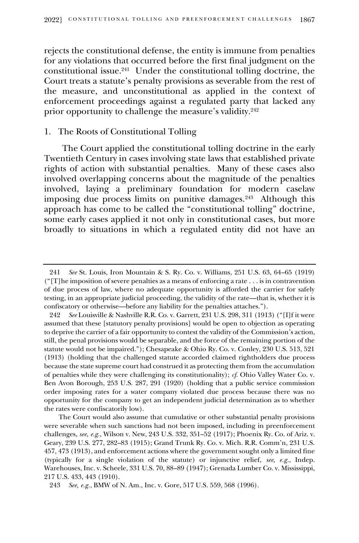rejects the constitutional defense, the entity is immune from penalties for any violations that occurred before the first final judgment on the constitutional issue.<sup>241</sup> Under the constitutional tolling doctrine, the Court treats a statute's penalty provisions as severable from the rest of the measure, and unconstitutional as applied in the context of enforcement proceedings against a regulated party that lacked any prior opportunity to challenge the measure's validity.<sup>242</sup>

## 1. The Roots of Constitutional Tolling

The Court applied the constitutional tolling doctrine in the early Twentieth Century in cases involving state laws that established private rights of action with substantial penalties. Many of these cases also involved overlapping concerns about the magnitude of the penalties involved, laying a preliminary foundation for modern caselaw imposing due process limits on punitive damages.<sup>243</sup> Although this approach has come to be called the "constitutional tolling" doctrine, some early cases applied it not only in constitutional cases, but more broadly to situations in which a regulated entity did not have an

<sup>241</sup> *See* St. Louis, Iron Mountain & S. Ry. Co. v. Williams, 251 U.S. 63, 64–65 (1919) ("[T]he imposition of severe penalties as a means of enforcing a rate . . . is in contravention of due process of law, where no adequate opportunity is afforded the carrier for safely testing, in an appropriate judicial proceeding, the validity of the rate—that is, whether it is confiscatory or otherwise—before any liability for the penalties attaches.").

<sup>242</sup> *See* Louisville & Nashville R.R. Co. v. Garrett, 231 U.S. 298, 311 (1913) ("[I]f it were assumed that these [statutory penalty provisions] would be open to objection as operating to deprive the carrier of a fair opportunity to contest the validity of the Commission's action, still, the penal provisions would be separable, and the force of the remaining portion of the statute would not be impaired."); Chesapeake & Ohio Ry. Co. v. Conley, 230 U.S. 513, 521 (1913) (holding that the challenged statute accorded claimed rightholders due process because the state supreme court had construed it as protecting them from the accumulation of penalties while they were challenging its constitutionality); *cf*. Ohio Valley Water Co. v. Ben Avon Borough, 253 U.S. 287, 291 (1920) (holding that a public service commission order imposing rates for a water company violated due process because there was no opportunity for the company to get an independent judicial determination as to whether the rates were confiscatorily low).

The Court would also assume that cumulative or other substantial penalty provisions were severable when such sanctions had not been imposed, including in preenforcement challenges, *see, e.g.*, Wilson v. New, 243 U.S. 332, 351–52 (1917); Phoenix Ry. Co. of Ariz. v. Geary, 239 U.S. 277, 282–83 (1915); Grand Trunk Ry. Co. v. Mich. R.R. Comm'n, 231 U.S. 457, 473 (1913), and enforcement actions where the government sought only a limited fine (typically for a single violation of the statute) or injunctive relief, *see, e.g.*, Indep. Warehouses, Inc. v. Scheele, 331 U.S. 70, 88–89 (1947); Grenada Lumber Co. v. Mississippi, 217 U.S. 433, 443 (1910).

<sup>243</sup> *See, e.g.*, BMW of N. Am., Inc. v. Gore, 517 U.S. 559, 568 (1996).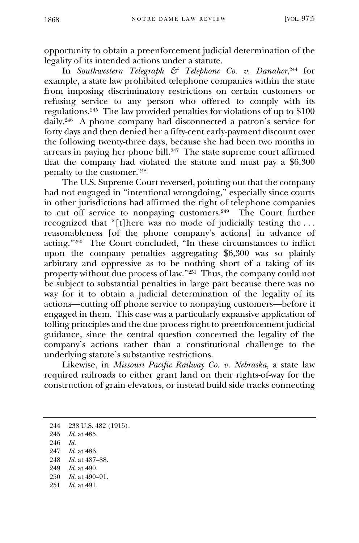opportunity to obtain a preenforcement judicial determination of the legality of its intended actions under a statute.

In *Southwestern Telegraph & Telephone Co. v. Danaher*, <sup>244</sup> for example, a state law prohibited telephone companies within the state from imposing discriminatory restrictions on certain customers or refusing service to any person who offered to comply with its regulations.<sup>245</sup> The law provided penalties for violations of up to \$100 daily.<sup>246</sup> A phone company had disconnected a patron's service for forty days and then denied her a fifty-cent early-payment discount over the following twenty-three days, because she had been two months in arrears in paying her phone bill.<sup>247</sup> The state supreme court affirmed that the company had violated the statute and must pay a \$6,300 penalty to the customer.<sup>248</sup>

The U.S. Supreme Court reversed, pointing out that the company had not engaged in "intentional wrongdoing," especially since courts in other jurisdictions had affirmed the right of telephone companies to cut off service to nonpaying customers. 249 The Court further recognized that "[t]here was no mode of judicially testing the . . . reasonableness [of the phone company's actions] in advance of acting."<sup>250</sup> The Court concluded, "In these circumstances to inflict upon the company penalties aggregating \$6,300 was so plainly arbitrary and oppressive as to be nothing short of a taking of its property without due process of law."<sup>251</sup> Thus, the company could not be subject to substantial penalties in large part because there was no way for it to obtain a judicial determination of the legality of its actions—cutting off phone service to nonpaying customers—before it engaged in them. This case was a particularly expansive application of tolling principles and the due process right to preenforcement judicial guidance, since the central question concerned the legality of the company's actions rather than a constitutional challenge to the underlying statute's substantive restrictions.

Likewise, in *Missouri Pacific Railway Co. v. Nebraska*, a state law required railroads to either grant land on their rights-of-way for the construction of grain elevators, or instead build side tracks connecting

- 246 *Id.*
- 247 *Id.* at 486.
- 248 *Id.* at 487–88.
- 249 *Id.* at 490.
- 250 *Id.* at 490–91.
- 251 *Id.* at 491.

<sup>244</sup> 238 U.S. 482 (1915). 245 *Id.* at 485.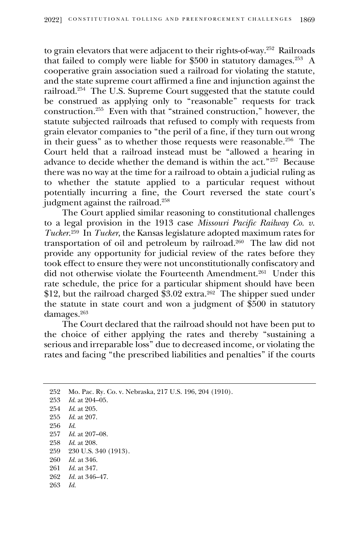to grain elevators that were adjacent to their rights-of-way.<sup>252</sup> Railroads that failed to comply were liable for \$500 in statutory damages.<sup>253</sup> A cooperative grain association sued a railroad for violating the statute, and the state supreme court affirmed a fine and injunction against the railroad.<sup>254</sup> The U.S. Supreme Court suggested that the statute could be construed as applying only to "reasonable" requests for track construction. 255 Even with that "strained construction," however, the statute subjected railroads that refused to comply with requests from grain elevator companies to "the peril of a fine, if they turn out wrong in their guess" as to whether those requests were reasonable.<sup>256</sup> The Court held that a railroad instead must be "allowed a hearing in advance to decide whether the demand is within the act."<sup>257</sup> Because there was no way at the time for a railroad to obtain a judicial ruling as to whether the statute applied to a particular request without potentially incurring a fine, the Court reversed the state court's judgment against the railroad.<sup>258</sup>

The Court applied similar reasoning to constitutional challenges to a legal provision in the 1913 case *Missouri Pacific Railway Co. v. Tucker*. 259 In *Tucker*, the Kansas legislature adopted maximum rates for transportation of oil and petroleum by railroad. 260 The law did not provide any opportunity for judicial review of the rates before they took effect to ensure they were not unconstitutionally confiscatory and did not otherwise violate the Fourteenth Amendment.<sup>261</sup> Under this rate schedule, the price for a particular shipment should have been \$12, but the railroad charged \$3.02 extra.<sup>262</sup> The shipper sued under the statute in state court and won a judgment of \$500 in statutory damages.<sup>263</sup>

The Court declared that the railroad should not have been put to the choice of either applying the rates and thereby "sustaining a serious and irreparable loss" due to decreased income, or violating the rates and facing "the prescribed liabilities and penalties" if the courts

 Mo. Pac. Ry. Co. v. Nebraska, 217 U.S. 196, 204 (1910). *Id*. at 204–05. *Id*. at 205. *Id*. at 207. 256 *Id*. *Id*. at 207–08. *Id*. at 208. 230 U.S. 340 (1913). *Id.* at 346. *Id.* at 347. *Id.* at 346–47. 263 *Id.*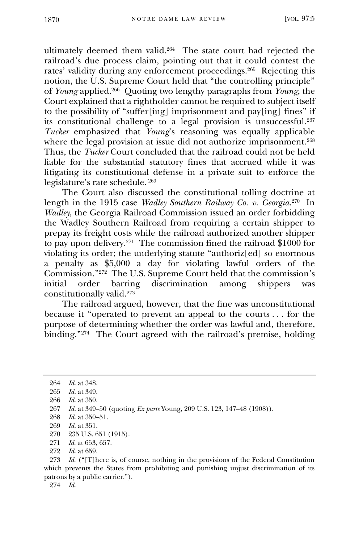ultimately deemed them valid.<sup>264</sup> The state court had rejected the railroad's due process claim, pointing out that it could contest the rates' validity during any enforcement proceedings.<sup>265</sup> Rejecting this notion, the U.S. Supreme Court held that "the controlling principle" of *Young* applied.<sup>266</sup> Quoting two lengthy paragraphs from *Young*, the Court explained that a rightholder cannot be required to subject itself to the possibility of "suffer[ing] imprisonment and pay[ing] fines" if its constitutional challenge to a legal provision is unsuccessful.<sup>267</sup> *Tucker* emphasized that *Young*'s reasoning was equally applicable where the legal provision at issue did not authorize imprisonment.<sup>268</sup> Thus, the *Tucker* Court concluded that the railroad could not be held liable for the substantial statutory fines that accrued while it was litigating its constitutional defense in a private suit to enforce the legislature's rate schedule. <sup>269</sup>

The Court also discussed the constitutional tolling doctrine at length in the 1915 case *Wadley Southern Railway Co. v. Georgia*. 270 In *Wadley*, the Georgia Railroad Commission issued an order forbidding the Wadley Southern Railroad from requiring a certain shipper to prepay its freight costs while the railroad authorized another shipper to pay upon delivery.<sup>271</sup> The commission fined the railroad \$1000 for violating its order; the underlying statute "authoriz[ed] so enormous a penalty as \$5,000 a day for violating lawful orders of the Commission."<sup>272</sup> The U.S. Supreme Court held that the commission's initial order barring discrimination among shippers was constitutionally valid.<sup>273</sup>

The railroad argued, however, that the fine was unconstitutional because it "operated to prevent an appeal to the courts . . . for the purpose of determining whether the order was lawful and, therefore, binding." 274 The Court agreed with the railroad's premise, holding

274 *Id.*

<sup>264</sup> *Id.* at 348.

<sup>265</sup> *Id.* at 349.

<sup>266</sup> *Id.* at 350.

<sup>267</sup> *Id.* at 349–50 (quoting *Ex parte* Young, 209 U.S. 123, 147–48 (1908)).

<sup>268</sup> *Id.* at 350–51.

<sup>269</sup> *Id.* at 351.

<sup>270</sup> 235 U.S. 651 (1915).

<sup>271</sup> *Id*. at 653, 657.

<sup>272</sup> *Id.* at 659.

<sup>273</sup> *Id*. ("[T]here is, of course, nothing in the provisions of the Federal Constitution which prevents the States from prohibiting and punishing unjust discrimination of its patrons by a public carrier.").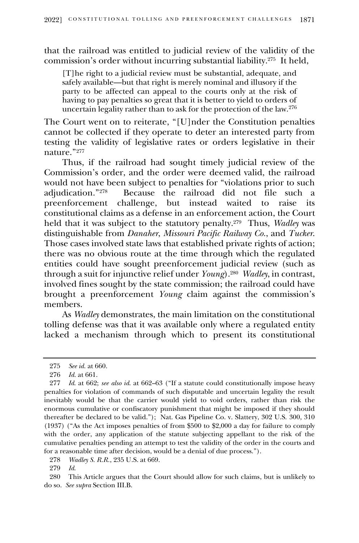that the railroad was entitled to judicial review of the validity of the commission's order without incurring substantial liability. 275 It held,

[T]he right to a judicial review must be substantial, adequate, and safely available—but that right is merely nominal and illusory if the party to be affected can appeal to the courts only at the risk of having to pay penalties so great that it is better to yield to orders of uncertain legality rather than to ask for the protection of the law.<sup>276</sup>

The Court went on to reiterate, "[U]nder the Constitution penalties cannot be collected if they operate to deter an interested party from testing the validity of legislative rates or orders legislative in their nature."<sup>277</sup>

Thus, if the railroad had sought timely judicial review of the Commission's order, and the order were deemed valid, the railroad would not have been subject to penalties for "violations prior to such adjudication."<sup>278</sup> Because the railroad did not file such a preenforcement challenge, but instead waited to raise its constitutional claims as a defense in an enforcement action, the Court held that it was subject to the statutory penalty.<sup>279</sup> Thus, *Wadley* was distinguishable from *Danaher*, *Missouri Pacific Railway Co.*, and *Tucker*. Those cases involved state laws that established private rights of action; there was no obvious route at the time through which the regulated entities could have sought preenforcement judicial review (such as through a suit for injunctive relief under *Young*). 280 *Wadley*, in contrast, involved fines sought by the state commission; the railroad could have brought a preenforcement *Young* claim against the commission's members.

As *Wadley* demonstrates, the main limitation on the constitutional tolling defense was that it was available only where a regulated entity lacked a mechanism through which to present its constitutional

280 This Article argues that the Court should allow for such claims, but is unlikely to do so. *See supra* Section III.B.

<sup>275</sup> *See id.* at 660.

<sup>276</sup> *Id.* at 661.

<sup>277</sup> *Id*. at 662; *see also id*. at 662–63 ("If a statute could constitutionally impose heavy penalties for violation of commands of such disputable and uncertain legality the result inevitably would be that the carrier would yield to void orders, rather than risk the enormous cumulative or confiscatory punishment that might be imposed if they should thereafter be declared to be valid."); Nat. Gas Pipeline Co. v. Slattery, 302 U.S. 300, 310 (1937) ("As the Act imposes penalties of from \$500 to \$2,000 a day for failure to comply with the order, any application of the statute subjecting appellant to the risk of the cumulative penalties pending an attempt to test the validity of the order in the courts and for a reasonable time after decision, would be a denial of due process.").

<sup>278</sup> *Wadley S. R.R.*, 235 U.S. at 669.

<sup>279</sup> *Id*.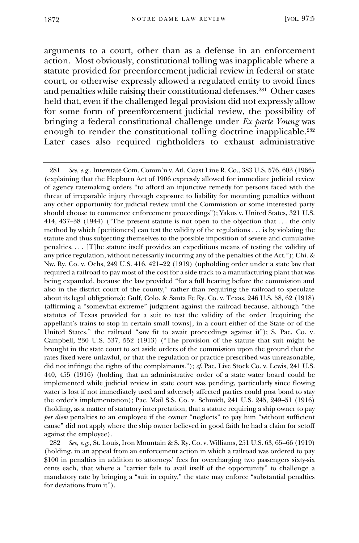arguments to a court, other than as a defense in an enforcement action. Most obviously, constitutional tolling was inapplicable where a statute provided for preenforcement judicial review in federal or state court, or otherwise expressly allowed a regulated entity to avoid fines and penalties while raising their constitutional defenses.<sup>281</sup> Other cases held that, even if the challenged legal provision did not expressly allow for some form of preenforcement judicial review, the possibility of bringing a federal constitutional challenge under *Ex parte Young* was enough to render the constitutional tolling doctrine inapplicable.<sup>282</sup> Later cases also required rightholders to exhaust administrative

<sup>281</sup> *See, e.g.*, Interstate Com. Comm'n v. Atl. Coast Line R. Co., 383 U.S. 576, 603 (1966) (explaining that the Hepburn Act of 1906 expressly allowed for immediate judicial review of agency ratemaking orders "to afford an injunctive remedy for persons faced with the threat of irreparable injury through exposure to liability for mounting penalties without any other opportunity for judicial review until the Commission or some interested party should choose to commence enforcement proceedings"); Yakus v. United States, 321 U.S. 414, 437–38 (1944) ("The present statute is not open to the objection that . . . the only method by which [petitioners] can test the validity of the regulations . . . is by violating the statute and thus subjecting themselves to the possible imposition of severe and cumulative penalties. . . . [T]he statute itself provides an expeditious means of testing the validity of any price regulation, without necessarily incurring any of the penalties of the Act."); Chi. & Nw. Ry. Co. v. Ochs, 249 U.S. 416, 421–22 (1919) (upholding order under a state law that required a railroad to pay most of the cost for a side track to a manufacturing plant that was being expanded, because the law provided "for a full hearing before the commission and also in the district court of the county," rather than requiring the railroad to speculate about its legal obligations); Gulf, Colo. & Santa Fe Ry. Co. v. Texas, 246 U.S. 58, 62 (1918) (affirming a "somewhat extreme" judgment against the railroad because, although "the statutes of Texas provided for a suit to test the validity of the order [requiring the appellant's trains to stop in certain small towns], in a court either of the State or of the United States," the railroad "saw fit to await proceedings against it"); S. Pac. Co. v. Campbell, 230 U.S. 537, 552 (1913) ("The provision of the statute that suit might be brought in the state court to set aside orders of the commission upon the ground that the rates fixed were unlawful, or that the regulation or practice prescribed was unreasonable, did not infringe the rights of the complainants."); *cf*. Pac. Live Stock Co. v. Lewis, 241 U.S. 440, 455 (1916) (holding that an administrative order of a state water board could be implemented while judicial review in state court was pending, particularly since flowing water is lost if not immediately used and adversely affected parties could post bond to stay the order's implementation); Pac. Mail S.S. Co. v. Schmidt, 241 U.S. 245, 249–51 (1916) (holding, as a matter of statutory interpretation, that a statute requiring a ship owner to pay *per diem* penalties to an employee if the owner "neglects" to pay him "without sufficient cause" did not apply where the ship owner believed in good faith he had a claim for setoff against the employee).

<sup>282</sup> *See, e.g.*, St. Louis, Iron Mountain & S. Ry. Co. v. Williams, 251 U.S. 63, 65–66 (1919) (holding, in an appeal from an enforcement action in which a railroad was ordered to pay \$100 in penalties in addition to attorneys' fees for overcharging two passengers sixty-six cents each, that where a "carrier fails to avail itself of the opportunity" to challenge a mandatory rate by bringing a "suit in equity," the state may enforce "substantial penalties for deviations from it").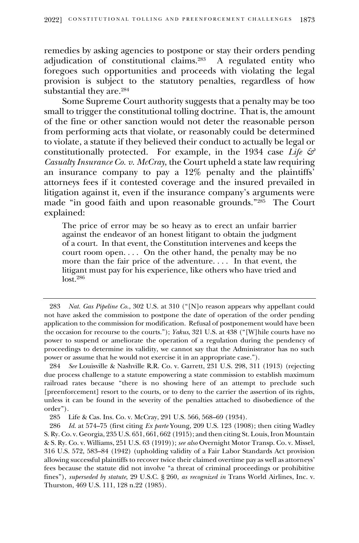remedies by asking agencies to postpone or stay their orders pending adjudication of constitutional claims.<sup>283</sup> A regulated entity who foregoes such opportunities and proceeds with violating the legal provision is subject to the statutory penalties, regardless of how substantial they are.<sup>284</sup>

Some Supreme Court authority suggests that a penalty may be too small to trigger the constitutional tolling doctrine. That is, the amount of the fine or other sanction would not deter the reasonable person from performing acts that violate, or reasonably could be determined to violate, a statute if they believed their conduct to actually be legal or constitutionally protected. For example, in the 1934 case *Life & Casualty Insurance Co. v. McCray*, the Court upheld a state law requiring an insurance company to pay a 12% penalty and the plaintiffs' attorneys fees if it contested coverage and the insured prevailed in litigation against it, even if the insurance company's arguments were made "in good faith and upon reasonable grounds."<sup>285</sup> The Court explained:

The price of error may be so heavy as to erect an unfair barrier against the endeavor of an honest litigant to obtain the judgment of a court. In that event, the Constitution intervenes and keeps the court room open. . . . On the other hand, the penalty may be no more than the fair price of the adventure. . . . In that event, the litigant must pay for his experience, like others who have tried and lost.<sup>286</sup>

<sup>283</sup> *Nat. Gas Pipeline Co.*, 302 U.S. at 310 ("[N]o reason appears why appellant could not have asked the commission to postpone the date of operation of the order pending application to the commission for modification. Refusal of postponement would have been the occasion for recourse to the courts."); *Yakus*, 321 U.S. at 438 ("[W]hile courts have no power to suspend or ameliorate the operation of a regulation during the pendency of proceedings to determine its validity, we cannot say that the Administrator has no such power or assume that he would not exercise it in an appropriate case.").

<sup>284</sup> *See* Louisville & Nashville R.R. Co. v. Garrett, 231 U.S. 298, 311 (1913) (rejecting due process challenge to a statute empowering a state commission to establish maximum railroad rates because "there is no showing here of an attempt to preclude such [preenforcement] resort to the courts, or to deny to the carrier the assertion of its rights, unless it can be found in the severity of the penalties attached to disobedience of the order").

<sup>285</sup> Life & Cas. Ins. Co. v. McCray, 291 U.S. 566, 568–69 (1934).

<sup>286</sup> *Id.* at 574–75 (first citing *Ex parte* Young, 209 U.S. 123 (1908); then citing Wadley S. Ry. Co. v. Georgia, 235 U.S. 651, 661, 662 (1915); and then citing St. Louis, Iron Mountain & S. Ry. Co. v. Williams, 251 U.S. 63 (1919)); *see also* Overnight Motor Transp. Co. v. Missel, 316 U.S. 572, 583–84 (1942) (upholding validity of a Fair Labor Standards Act provision allowing successful plaintiffs to recover twice their claimed overtime pay as well as attorneys' fees because the statute did not involve "a threat of criminal proceedings or prohibitive fines"), *superseded by statute*, 29 U.S.C. § 260, *as recognized in* Trans World Airlines, Inc. v. Thurston, 469 U.S. 111, 128 n.22 (1985).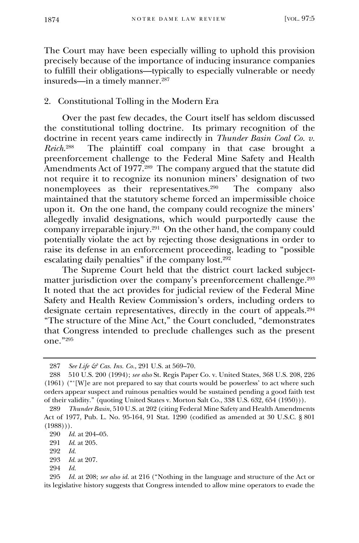The Court may have been especially willing to uphold this provision precisely because of the importance of inducing insurance companies to fulfill their obligations—typically to especially vulnerable or needy insureds—in a timely manner.<sup>287</sup>

## 2. Constitutional Tolling in the Modern Era

Over the past few decades, the Court itself has seldom discussed the constitutional tolling doctrine. Its primary recognition of the doctrine in recent years came indirectly in *Thunder Basin Coal Co. v. Reich*. 288 The plaintiff coal company in that case brought a preenforcement challenge to the Federal Mine Safety and Health Amendments Act of 1977.<sup>289</sup> The company argued that the statute did not require it to recognize its nonunion miners' designation of two nonemployees as their representatives.<sup>290</sup> The company also maintained that the statutory scheme forced an impermissible choice upon it. On the one hand, the company could recognize the miners' allegedly invalid designations, which would purportedly cause the company irreparable injury. 291 On the other hand, the company could potentially violate the act by rejecting those designations in order to raise its defense in an enforcement proceeding, leading to "possible escalating daily penalties" if the company lost.<sup>292</sup>

The Supreme Court held that the district court lacked subjectmatter jurisdiction over the company's preenforcement challenge. 293 It noted that the act provides for judicial review of the Federal Mine Safety and Health Review Commission's orders, including orders to designate certain representatives, directly in the court of appeals.<sup>294</sup> "The structure of the Mine Act," the Court concluded, "demonstrates that Congress intended to preclude challenges such as the present one."<sup>295</sup>

<sup>287</sup> *See Life & Cas. Ins. Co.*, 291 U.S. at 569–70.

<sup>288</sup> 510 U.S. 200 (1994); *see also* St. Regis Paper Co. v. United States, 368 U.S. 208, 226 (1961) ("'[W]e are not prepared to say that courts would be powerless' to act where such orders appear suspect and ruinous penalties would be sustained pending a good faith test of their validity." (quoting United States v. Morton Salt Co., 338 U.S. 632, 654 (1950))).

<sup>289</sup> *Thunder Basin*, 510 U.S. at 202 (citing Federal Mine Safety and Health Amendments Act of 1977, Pub. L. No. 95-164, 91 Stat. 1290 (codified as amended at 30 U.S.C. § 801  $(1988))$ .

<sup>290</sup> *Id.* at 204–05.

<sup>291</sup> *Id*. at 205.

<sup>292</sup> *Id.*

<sup>293</sup> *Id*. at 207.

<sup>294</sup> *Id.*

<sup>295</sup> *Id.* at 208; *see also id.* at 216 ("Nothing in the language and structure of the Act or its legislative history suggests that Congress intended to allow mine operators to evade the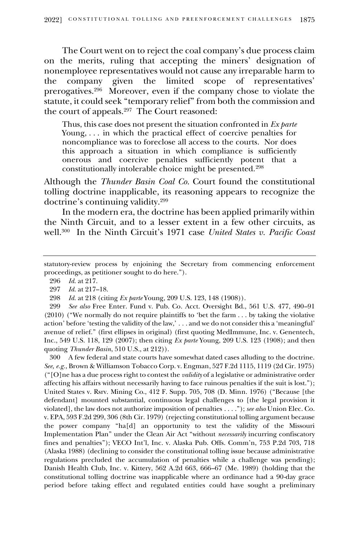The Court went on to reject the coal company's due process claim on the merits, ruling that accepting the miners' designation of nonemployee representatives would not cause any irreparable harm to the company given the limited scope of representatives' prerogatives.<sup>296</sup> Moreover, even if the company chose to violate the statute, it could seek "temporary relief" from both the commission and the court of appeals.<sup>297</sup> The Court reasoned:

Thus, this case does not present the situation confronted in *Ex parte* Young, . . . in which the practical effect of coercive penalties for noncompliance was to foreclose all access to the courts. Nor does this approach a situation in which compliance is sufficiently onerous and coercive penalties sufficiently potent that a constitutionally intolerable choice might be presented.<sup>298</sup>

Although the *Thunder Basin Coal Co.* Court found the constitutional tolling doctrine inapplicable, its reasoning appears to recognize the doctrine's continuing validity.<sup>299</sup>

In the modern era, the doctrine has been applied primarily within the Ninth Circuit, and to a lesser extent in a few other circuits, as well.<sup>300</sup> In the Ninth Circuit's 1971 case *United States v. Pacific Coast* 

299 *See also* Free Enter. Fund v. Pub. Co. Acct. Oversight Bd., 561 U.S. 477, 490–91 (2010) ("We normally do not require plaintiffs to 'bet the farm . . . by taking the violative action' before 'testing the validity of the law,' . . . and we do not consider this a 'meaningful' avenue of relief." (first ellipses in original) (first quoting MedImmune, Inc. v. Genentech, Inc., 549 U.S. 118, 129 (2007); then citing *Ex parte* Young, 209 U.S. 123 (1908); and then quoting *Thunder Basin*, 510 U.S., at 212)).

300 A few federal and state courts have somewhat dated cases alluding to the doctrine. *See, e.g.*, Brown & Williamson Tobacco Corp. v. Engman, 527 F.2d 1115, 1119 (2d Cir. 1975) ("[O]ne has a due process right to contest the *validity* of a legislative or administrative order affecting his affairs without necessarily having to face ruinous penalties if the suit is lost."); United States v. Rsrv. Mining Co., 412 F. Supp. 705, 708 (D. Minn. 1976) ("Because [the defendant] mounted substantial, continuous legal challenges to [the legal provision it violated], the law does not authorize imposition of penalties . . . ."); *see also* Union Elec. Co. v. EPA, 593 F.2d 299, 306 (8th Cir. 1979) (rejecting constitutional tolling argument because the power company "ha[d] an opportunity to test the validity of the Missouri Implementation Plan" under the Clean Air Act "without *necessarily* incurring confiscatory fines and penalties"); VECO Int'l, Inc. v. Alaska Pub. Offs. Comm'n, 753 P.2d 703, 718 (Alaska 1988) (declining to consider the constitutional tolling issue because administrative regulations precluded the accumulation of penalties while a challenge was pending); Danish Health Club, Inc. v. Kittery, 562 A.2d 663, 666–67 (Me. 1989) (holding that the constitutional tolling doctrine was inapplicable where an ordinance had a 90-day grace period before taking effect and regulated entities could have sought a preliminary

statutory-review process by enjoining the Secretary from commencing enforcement proceedings, as petitioner sought to do here.").

<sup>296</sup> *Id.* at 217.

<sup>297</sup> *Id.* at 217–18.

<sup>298</sup> *Id.* at 218 (citing *Ex parte* Young, 209 U.S. 123, 148 (1908)).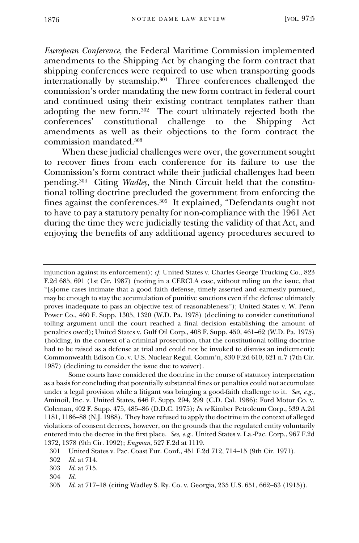*European Conference*, the Federal Maritime Commission implemented amendments to the Shipping Act by changing the form contract that shipping conferences were required to use when transporting goods internationally by steamship.<sup>301</sup> Three conferences challenged the commission's order mandating the new form contract in federal court and continued using their existing contract templates rather than adopting the new form.<sup>302</sup> The court ultimately rejected both the conferences' constitutional challenge to the Shipping Act amendments as well as their objections to the form contract the commission mandated.<sup>303</sup>

When these judicial challenges were over, the government sought to recover fines from each conference for its failure to use the Commission's form contract while their judicial challenges had been pending.<sup>304</sup> Citing *Wadley*, the Ninth Circuit held that the constitutional tolling doctrine precluded the government from enforcing the fines against the conferences.<sup>305</sup> It explained, "Defendants ought not to have to pay a statutory penalty for non-compliance with the 1961 Act during the time they were judicially testing the validity of that Act, and enjoying the benefits of any additional agency procedures secured to

injunction against its enforcement); *cf.* United States v. Charles George Trucking Co., 823 F.2d 685, 691 (1st Cir. 1987) (noting in a CERCLA case, without ruling on the issue, that "[s]ome cases intimate that a good faith defense, timely asserted and earnestly pursued, may be enough to stay the accumulation of punitive sanctions even if the defense ultimately proves inadequate to pass an objective test of reasonableness"); United States v. W. Penn Power Co., 460 F. Supp. 1305, 1320 (W.D. Pa. 1978) (declining to consider constitutional tolling argument until the court reached a final decision establishing the amount of penalties owed); United States v. Gulf Oil Corp., 408 F. Supp. 450, 461–62 (W.D. Pa. 1975) (holding, in the context of a criminal prosecution, that the constitutional tolling doctrine had to be raised as a defense at trial and could not be invoked to dismiss an indictment); Commonwealth Edison Co. v. U.S. Nuclear Regul. Comm'n, 830 F.2d 610, 621 n.7 (7th Cir. 1987) (declining to consider the issue due to waiver).

Some courts have considered the doctrine in the course of statutory interpretation as a basis for concluding that potentially substantial fines or penalties could not accumulate under a legal provision while a litigant was bringing a good-faith challenge to it. *See, e.g.*, Aminoil, Inc. v. United States, 646 F. Supp. 294, 299 (C.D. Cal. 1986); Ford Motor Co. v. Coleman, 402 F. Supp. 475, 485–86 (D.D.C. 1975); *In re* Kimber Petroleum Corp., 539 A.2d 1181, 1186–88 (N.J. 1988). They have refused to apply the doctrine in the context of alleged violations of consent decrees, however, on the grounds that the regulated entity voluntarily entered into the decree in the first place. *See, e.g.*, United States v. La.-Pac. Corp., 967 F.2d 1372, 1378 (9th Cir. 1992); *Engman*, 527 F.2d at 1119.

301 United States v. Pac. Coast Eur. Conf., 451 F.2d 712, 714–15 (9th Cir. 1971).

<sup>302</sup> *Id.* at 714.

<sup>303</sup> *Id.* at 715.

<sup>304</sup> *Id.*

<sup>305</sup> *Id.* at 717–18 (citing Wadley S. Ry. Co. v. Georgia, 235 U.S. 651, 662–63 (1915)).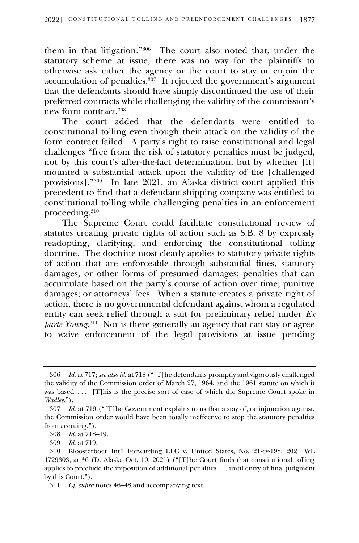them in that litigation."<sup>306</sup> The court also noted that, under the statutory scheme at issue, there was no way for the plaintiffs to otherwise ask either the agency or the court to stay or enjoin the accumulation of penalties.<sup>307</sup> It rejected the government's argument that the defendants should have simply discontinued the use of their preferred contracts while challenging the validity of the commission's new form contract.<sup>308</sup>

The court added that the defendants were entitled to constitutional tolling even though their attack on the validity of the form contract failed. A party's right to raise constitutional and legal challenges "free from the risk of statutory penalties must be judged, not by this court's after-the-fact determination, but by whether [it] mounted a substantial attack upon the validity of the [challenged provisions]."<sup>309</sup> In late 2021, an Alaska district court applied this precedent to find that a defendant shipping company was entitled to constitutional tolling while challenging penalties in an enforcement proceeding.<sup>310</sup>

The Supreme Court could facilitate constitutional review of statutes creating private rights of action such as S.B. 8 by expressly readopting, clarifying, and enforcing the constitutional tolling doctrine. The doctrine most clearly applies to statutory private rights of action that are enforceable through substantial fines, statutory damages, or other forms of presumed damages; penalties that can accumulate based on the party's course of action over time; punitive damages; or attorneys' fees. When a statute creates a private right of action, there is no governmental defendant against whom a regulated entity can seek relief through a suit for preliminary relief under *Ex parte Young*. 311 Nor is there generally an agency that can stay or agree to waive enforcement of the legal provisions at issue pending

<sup>306</sup> *Id.* at 717; *see also id.* at 718 ("[T]he defendants promptly and vigorously challenged the validity of the Commission order of March 27, 1964, and the 1961 statute on which it was based.... [T]his is the precise sort of case of which the Supreme Court spoke in *Wadley*.").

<sup>307</sup> *Id.* at 719 ("[T]he Government explains to us that a stay of, or injunction against, the Commission order would have been totally ineffective to stop the statutory penalties from accruing.").

<sup>308</sup> *Id.* at 718–19.

<sup>309</sup> *Id.* at 719.

<sup>310</sup> Kloosterboer Int'l Forwarding LLC v. United States, No. 21-cv-198, 2021 WL 4729303, at \*6 (D. Alaska Oct. 10, 2021) ("[T]he Court finds that constitutional tolling applies to preclude the imposition of additional penalties . . . until entry of final judgment by this Court.").

<sup>311</sup> *Cf*. *supra* notes 46–48 and accompanying text.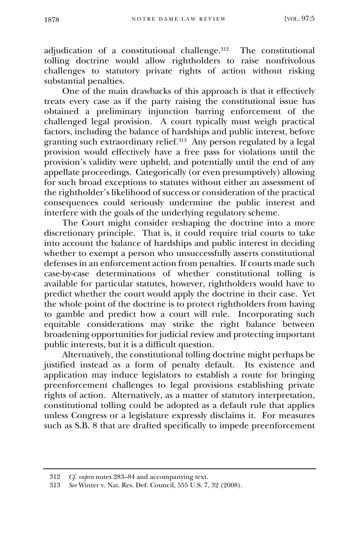adjudication of a constitutional challenge.<sup>312</sup> The constitutional tolling doctrine would allow rightholders to raise nonfrivolous challenges to statutory private rights of action without risking substantial penalties.

One of the main drawbacks of this approach is that it effectively treats every case as if the party raising the constitutional issue has obtained a preliminary injunction barring enforcement of the challenged legal provision. A court typically must weigh practical factors, including the balance of hardships and public interest, before granting such extraordinary relief.<sup>313</sup> Any person regulated by a legal provision would effectively have a free pass for violations until the provision's validity were upheld, and potentially until the end of any appellate proceedings. Categorically (or even presumptively) allowing for such broad exceptions to statutes without either an assessment of the rightholder's likelihood of success or consideration of the practical consequences could seriously undermine the public interest and interfere with the goals of the underlying regulatory scheme.

The Court might consider reshaping the doctrine into a more discretionary principle. That is, it could require trial courts to take into account the balance of hardships and public interest in deciding whether to exempt a person who unsuccessfully asserts constitutional defenses in an enforcement action from penalties. If courts made such case-by-case determinations of whether constitutional tolling is available for particular statutes, however, rightholders would have to predict whether the court would apply the doctrine in their case. Yet the whole point of the doctrine is to protect rightholders from having to gamble and predict how a court will rule. Incorporating such equitable considerations may strike the right balance between broadening opportunities for judicial review and protecting important public interests, but it is a difficult question.

Alternatively, the constitutional tolling doctrine might perhaps be justified instead as a form of penalty default. Its existence and application may induce legislators to establish a route for bringing preenforcement challenges to legal provisions establishing private rights of action. Alternatively, as a matter of statutory interpretation, constitutional tolling could be adopted as a default rule that applies unless Congress or a legislature expressly disclaims it. For measures such as S.B. 8 that are drafted specifically to impede preenforcement

<sup>312</sup> *Cf*. *supra* notes 283–84 and accompanying text.

<sup>313</sup> *See* Winter v. Nat. Res. Def. Council, 555 U.S. 7, 32 (2008).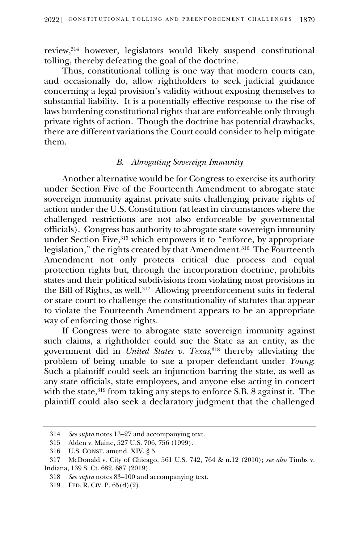review, <sup>314</sup> however, legislators would likely suspend constitutional tolling, thereby defeating the goal of the doctrine.

Thus, constitutional tolling is one way that modern courts can, and occasionally do, allow rightholders to seek judicial guidance concerning a legal provision's validity without exposing themselves to substantial liability. It is a potentially effective response to the rise of laws burdening constitutional rights that are enforceable only through private rights of action. Though the doctrine has potential drawbacks, there are different variations the Court could consider to help mitigate them.

## *B. Abrogating Sovereign Immunity*

Another alternative would be for Congress to exercise its authority under Section Five of the Fourteenth Amendment to abrogate state sovereign immunity against private suits challenging private rights of action under the U.S. Constitution (at least in circumstances where the challenged restrictions are not also enforceable by governmental officials). Congress has authority to abrogate state sovereign immunity under Section Five, <sup>315</sup> which empowers it to "enforce, by appropriate legislation," the rights created by that Amendment.<sup>316</sup> The Fourteenth Amendment not only protects critical due process and equal protection rights but, through the incorporation doctrine, prohibits states and their political subdivisions from violating most provisions in the Bill of Rights, as well.<sup>317</sup> Allowing preenforcement suits in federal or state court to challenge the constitutionality of statutes that appear to violate the Fourteenth Amendment appears to be an appropriate way of enforcing those rights.

If Congress were to abrogate state sovereign immunity against such claims, a rightholder could sue the State as an entity, as the government did in *United States v. Texas*, <sup>318</sup> thereby alleviating the problem of being unable to sue a proper defendant under *Young*. Such a plaintiff could seek an injunction barring the state, as well as any state officials, state employees, and anyone else acting in concert with the state,<sup>319</sup> from taking any steps to enforce S.B. 8 against it. The plaintiff could also seek a declaratory judgment that the challenged

<sup>314</sup> *See supra* notes 13–27 and accompanying text.

<sup>315</sup> Alden v. Maine, 527 U.S. 706, 756 (1999).

<sup>316</sup> U.S. CONST. amend. XIV, § 5.

<sup>317</sup> McDonald v. City of Chicago, 561 U.S. 742, 764 & n.12 (2010); *see also* Timbs v. Indiana, 139 S. Ct. 682, 687 (2019).

<sup>318</sup> *See supra* notes 83–100 and accompanying text.

<sup>319</sup> FED. R. CIV. P. 65(d)(2).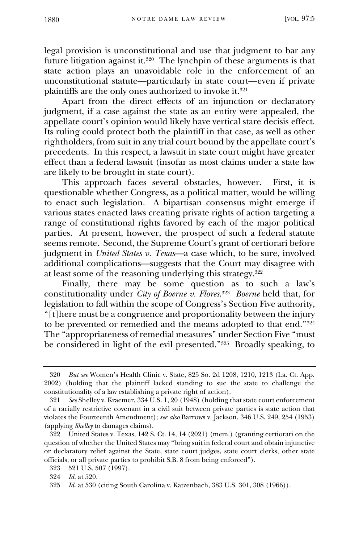legal provision is unconstitutional and use that judgment to bar any future litigation against it.<sup>320</sup> The lynchpin of these arguments is that state action plays an unavoidable role in the enforcement of an unconstitutional statute—particularly in state court—even if private plaintiffs are the only ones authorized to invoke it. 321

Apart from the direct effects of an injunction or declaratory judgment, if a case against the state as an entity were appealed, the appellate court's opinion would likely have vertical stare decisis effect. Its ruling could protect both the plaintiff in that case, as well as other rightholders, from suit in any trial court bound by the appellate court's precedents. In this respect, a lawsuit in state court might have greater effect than a federal lawsuit (insofar as most claims under a state law are likely to be brought in state court).

This approach faces several obstacles, however. First, it is questionable whether Congress, as a political matter, would be willing to enact such legislation. A bipartisan consensus might emerge if various states enacted laws creating private rights of action targeting a range of constitutional rights favored by each of the major political parties. At present, however, the prospect of such a federal statute seems remote. Second, the Supreme Court's grant of certiorari before judgment in *United States v. Texas*—a case which, to be sure, involved additional complications—suggests that the Court may disagree with at least some of the reasoning underlying this strategy. 322

Finally, there may be some question as to such a law's constitutionality under *City of Boerne v. Flores*. 323 *Boerne* held that, for legislation to fall within the scope of Congress's Section Five authority, "[t]here must be a congruence and proportionality between the injury to be prevented or remedied and the means adopted to that end."<sup>324</sup> The "appropriateness of remedial measures" under Section Five "must be considered in light of the evil presented."<sup>325</sup> Broadly speaking, to

<sup>320</sup> *But see* Women's Health Clinic v. State, 825 So. 2d 1208, 1210, 1213 (La. Ct. App. 2002) (holding that the plaintiff lacked standing to sue the state to challenge the constitutionality of a law establishing a private right of action).

<sup>321</sup> *See* Shelley v. Kraemer, 334 U.S. 1, 20 (1948) (holding that state court enforcement of a racially restrictive covenant in a civil suit between private parties is state action that violates the Fourteenth Amendment); *see also* Barrows v. Jackson, 346 U.S. 249, 254 (1953) (applying *Shelley* to damages claims).

<sup>322</sup> United States v. Texas, 142 S. Ct. 14, 14 (2021) (mem.) (granting certiorari on the question of whether the United States may "bring suit in federal court and obtain injunctive or declaratory relief against the State, state court judges, state court clerks, other state officials, or all private parties to prohibit S.B. 8 from being enforced").

<sup>323</sup> 521 U.S. 507 (1997).

<sup>324</sup> *Id.* at 520.

<sup>325</sup> *Id.* at 530 (citing South Carolina v. Katzenbach, 383 U.S. 301, 308 (1966)).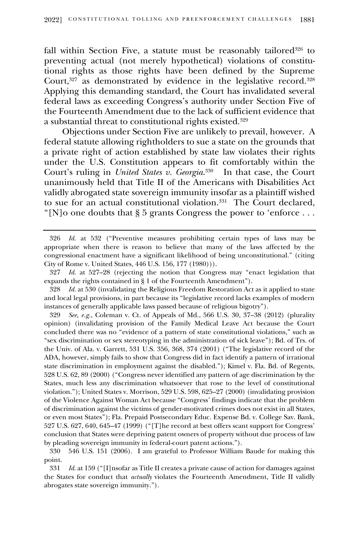fall within Section Five, a statute must be reasonably tailored<sup>326</sup> to preventing actual (not merely hypothetical) violations of constitutional rights as those rights have been defined by the Supreme Court,<sup>327</sup> as demonstrated by evidence in the legislative record.<sup>328</sup> Applying this demanding standard, the Court has invalidated several federal laws as exceeding Congress's authority under Section Five of the Fourteenth Amendment due to the lack of sufficient evidence that a substantial threat to constitutional rights existed.<sup>329</sup>

Objections under Section Five are unlikely to prevail, however. A federal statute allowing rightholders to sue a state on the grounds that a private right of action established by state law violates their rights under the U.S. Constitution appears to fit comfortably within the Court's ruling in *United States v. Georgia*. 330 In that case, the Court unanimously held that Title II of the Americans with Disabilities Act validly abrogated state sovereign immunity insofar as a plaintiff wished to sue for an actual constitutional violation.<sup>331</sup> The Court declared, "[N]o one doubts that  $\S 5$  grants Congress the power to 'enforce...

329 *See, e.g.*, Coleman v. Ct. of Appeals of Md., 566 U.S. 30, 37–38 (2012) (plurality opinion) (invalidating provision of the Family Medical Leave Act because the Court concluded there was no "evidence of a pattern of state constitutional violations," such as "sex discrimination or sex stereotyping in the administration of sick leave"); Bd. of Trs. of the Univ. of Ala. v. Garrett, 531 U.S. 356, 368, 374 (2001) ("The legislative record of the ADA, however, simply fails to show that Congress did in fact identify a pattern of irrational state discrimination in employment against the disabled."); Kimel v. Fla. Bd. of Regents, 528 U.S. 62, 89 (2000) ("Congress never identified any pattern of age discrimination by the States, much less any discrimination whatsoever that rose to the level of constitutional violation."); United States v. Morrison, 529 U.S. 598, 625–27 (2000) (invalidating provision of the Violence Against Woman Act because "Congress' findings indicate that the problem of discrimination against the victims of gender-motivated crimes does not exist in all States, or even most States"); Fla. Prepaid Postsecondary Educ. Expense Bd. v. College Sav. Bank, 527 U.S. 627, 640, 645–47 (1999) ("[T]he record at best offers scant support for Congress' conclusion that States were depriving patent owners of property without due process of law by pleading sovereign immunity in federal-court patent actions.").

330 546 U.S. 151 (2006). I am grateful to Professor William Baude for making this point.

331 *Id*. at 159 ("[I]nsofar as Title II creates a private cause of action for damages against the States for conduct that *actually* violates the Fourteenth Amendment, Title II validly abrogates state sovereign immunity.").

<sup>326</sup> *Id.* at 532 ("Preventive measures prohibiting certain types of laws may be appropriate when there is reason to believe that many of the laws affected by the congressional enactment have a significant likelihood of being unconstitutional." (citing City of Rome v. United States, 446 U.S. 156, 177 (1980))).

<sup>327</sup> *Id.* at 527–28 (rejecting the notion that Congress may "enact legislation that expands the rights contained in § 1 of the Fourteenth Amendment").

<sup>328</sup> *Id.* at 530 (invalidating the Religious Freedom Restoration Act as it applied to state and local legal provisions, in part because its "legislative record lacks examples of modern instances of generally applicable laws passed because of religious bigotry").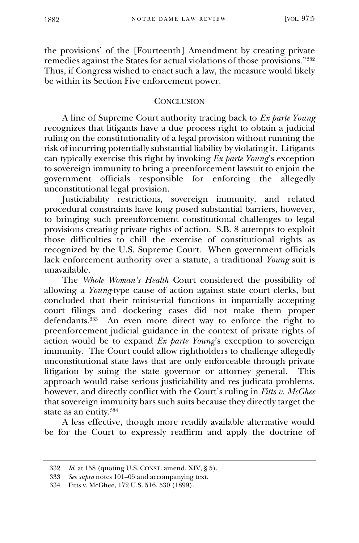the provisions' of the [Fourteenth] Amendment by creating private remedies against the States for actual violations of those provisions."<sup>332</sup> Thus, if Congress wished to enact such a law, the measure would likely be within its Section Five enforcement power.

# **CONCLUSION**

A line of Supreme Court authority tracing back to *Ex parte Young* recognizes that litigants have a due process right to obtain a judicial ruling on the constitutionality of a legal provision without running the risk of incurring potentially substantial liability by violating it. Litigants can typically exercise this right by invoking *Ex parte Young*'s exception to sovereign immunity to bring a preenforcement lawsuit to enjoin the government officials responsible for enforcing the allegedly unconstitutional legal provision.

Justiciability restrictions, sovereign immunity, and related procedural constraints have long posed substantial barriers, however, to bringing such preenforcement constitutional challenges to legal provisions creating private rights of action. S.B. 8 attempts to exploit those difficulties to chill the exercise of constitutional rights as recognized by the U.S. Supreme Court. When government officials lack enforcement authority over a statute, a traditional *Young* suit is unavailable.

The *Whole Woman's Health* Court considered the possibility of allowing a *Young*-type cause of action against state court clerks, but concluded that their ministerial functions in impartially accepting court filings and docketing cases did not make them proper defendants.<sup>333</sup> An even more direct way to enforce the right to preenforcement judicial guidance in the context of private rights of action would be to expand *Ex parte Young*'s exception to sovereign immunity. The Court could allow rightholders to challenge allegedly unconstitutional state laws that are only enforceable through private litigation by suing the state governor or attorney general. This approach would raise serious justiciability and res judicata problems, however, and directly conflict with the Court's ruling in *Fitts v. McGhee* that sovereign immunity bars such suits because they directly target the state as an entity. 334

A less effective, though more readily available alternative would be for the Court to expressly reaffirm and apply the doctrine of

<sup>332</sup> *Id*. at 158 (quoting U.S. CONST. amend. XIV, § 5).

<sup>333</sup> *See supra* notes 101–05 and accompanying text.

<sup>334</sup> Fitts v. McGhee, 172 U.S. 516, 530 (1899).